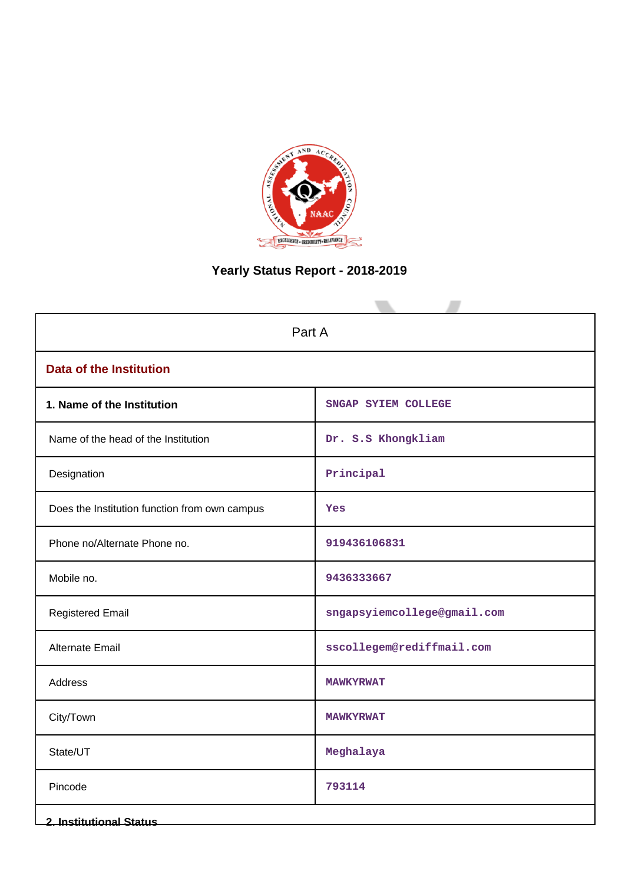

# **Yearly Status Report - 2018-2019**

| Part A                                        |                             |  |  |  |  |
|-----------------------------------------------|-----------------------------|--|--|--|--|
| <b>Data of the Institution</b>                |                             |  |  |  |  |
| 1. Name of the Institution                    | SNGAP SYIEM COLLEGE         |  |  |  |  |
| Name of the head of the Institution           | Dr. S.S Khongkliam          |  |  |  |  |
| Designation                                   | Principal                   |  |  |  |  |
| Does the Institution function from own campus | Yes                         |  |  |  |  |
| Phone no/Alternate Phone no.                  | 919436106831                |  |  |  |  |
| Mobile no.                                    | 9436333667                  |  |  |  |  |
| <b>Registered Email</b>                       | sngapsyiemcollege@gmail.com |  |  |  |  |
| Alternate Email                               | sscollegem@rediffmail.com   |  |  |  |  |
| <b>Address</b>                                | <b>MAWKYRWAT</b>            |  |  |  |  |
| City/Town                                     | <b>MAWKYRWAT</b>            |  |  |  |  |
| State/UT                                      | Meghalaya                   |  |  |  |  |
| Pincode                                       | 793114                      |  |  |  |  |
| <b>2. Institutional Status</b>                |                             |  |  |  |  |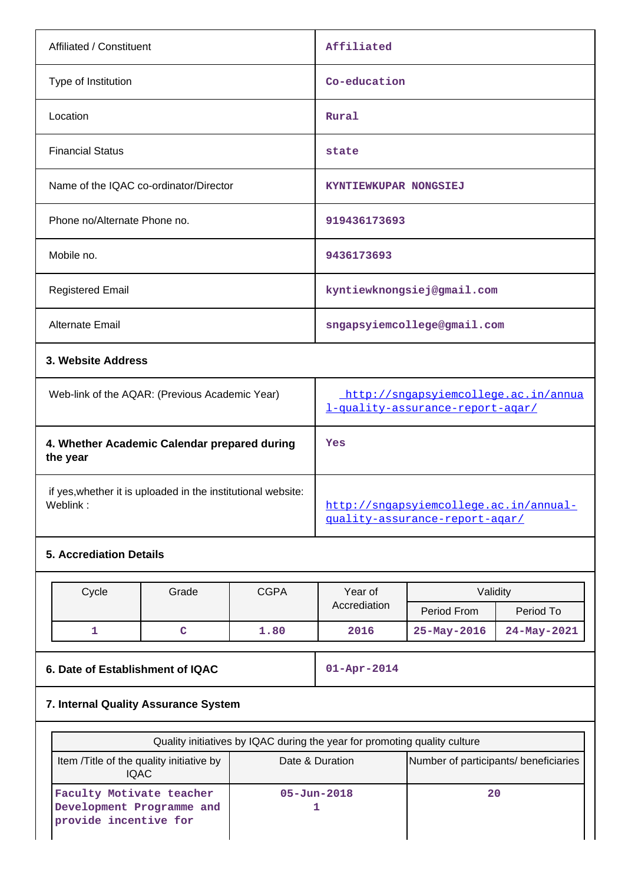| Affiliated / Constituent                                                 | Affiliated                                                               |
|--------------------------------------------------------------------------|--------------------------------------------------------------------------|
| Type of Institution                                                      | Co-education                                                             |
| Location                                                                 | Rural                                                                    |
| <b>Financial Status</b>                                                  | state                                                                    |
| Name of the IQAC co-ordinator/Director                                   | KYNTIEWKUPAR NONGSIEJ                                                    |
| Phone no/Alternate Phone no.                                             | 919436173693                                                             |
| Mobile no.                                                               | 9436173693                                                               |
| <b>Registered Email</b>                                                  | kyntiewknongsiej@gmail.com                                               |
| Alternate Email                                                          | sngapsyiemcollege@gmail.com                                              |
| 3. Website Address                                                       |                                                                          |
| Web-link of the AQAR: (Previous Academic Year)                           | http://sngapsyiemcollege.ac.in/annua<br>l-quality-assurance-report-agar/ |
| 4. Whether Academic Calendar prepared during<br>the year                 | Yes                                                                      |
| if yes, whether it is uploaded in the institutional website:<br>Weblink: | http://sngapsyiemcollege.ac.in/annual-<br>quality-assurance-report-agar/ |

# **5. Accrediation Details**

| Cycle | Grade | <b>CGPA</b> | Year of      | Validity          |             |
|-------|-------|-------------|--------------|-------------------|-------------|
|       |       |             | Accrediation | Period From       | Period To   |
|       |       | 1.80        | 2016         | $25 - May - 2016$ | 24-May-2021 |

**6. Date of Establishment of IQAC 01-Apr-2014**

# **7. Internal Quality Assurance System**

| Quality initiatives by IQAC during the year for promoting quality culture      |                   |                                       |  |  |  |  |
|--------------------------------------------------------------------------------|-------------------|---------------------------------------|--|--|--|--|
| Item / Title of the quality initiative by<br>IOAC.                             | Date & Duration   | Number of participants/ beneficiaries |  |  |  |  |
| Faculty Motivate teacher<br>Development Programme and<br>provide incentive for | $05 - Jun - 2018$ | 20                                    |  |  |  |  |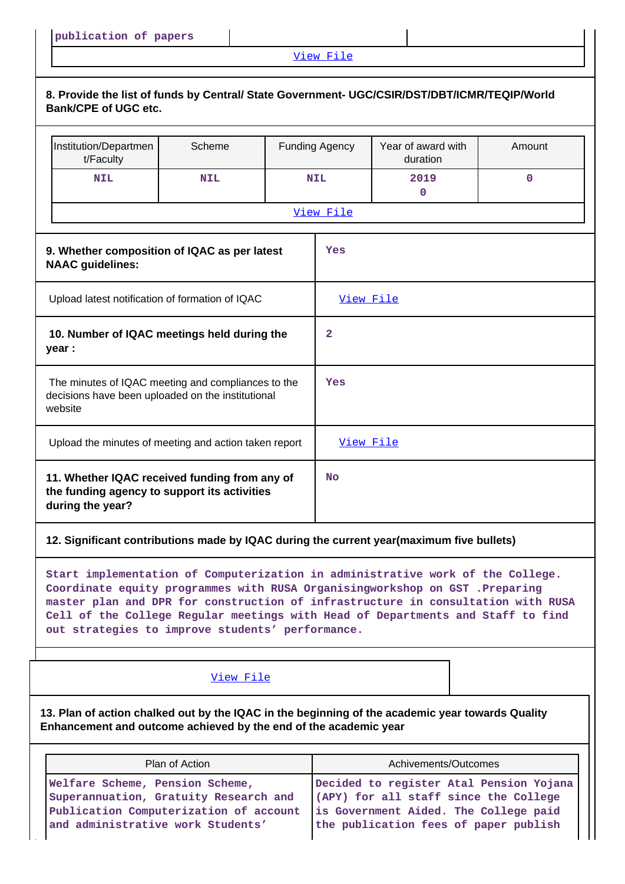# [View File](https://assessmentonline.naac.gov.in/public/Postacc/Quality_Initiatives/4681_Quality_Initiatives.xlsx)

| 8. Provide the list of funds by Central/ State Government- UGC/CSIR/DST/DBT/ICMR/TEQIP/World<br><b>Bank/CPE of UGC etc.</b>                                                                                                                                                                                                                                                              |                                                                                                                                                         |  |                       |                                                                                                                                                                    |        |  |  |
|------------------------------------------------------------------------------------------------------------------------------------------------------------------------------------------------------------------------------------------------------------------------------------------------------------------------------------------------------------------------------------------|---------------------------------------------------------------------------------------------------------------------------------------------------------|--|-----------------------|--------------------------------------------------------------------------------------------------------------------------------------------------------------------|--------|--|--|
| Institution/Departmen<br>t/Faculty                                                                                                                                                                                                                                                                                                                                                       | Scheme                                                                                                                                                  |  | <b>Funding Agency</b> | Year of award with<br>duration                                                                                                                                     | Amount |  |  |
| <b>NIL</b>                                                                                                                                                                                                                                                                                                                                                                               | <b>NIL</b>                                                                                                                                              |  | <b>NIL</b>            | 2019<br>0                                                                                                                                                          | 0      |  |  |
|                                                                                                                                                                                                                                                                                                                                                                                          |                                                                                                                                                         |  | View File             |                                                                                                                                                                    |        |  |  |
| 9. Whether composition of IQAC as per latest<br><b>NAAC</b> guidelines:                                                                                                                                                                                                                                                                                                                  |                                                                                                                                                         |  | Yes                   |                                                                                                                                                                    |        |  |  |
| Upload latest notification of formation of IQAC                                                                                                                                                                                                                                                                                                                                          |                                                                                                                                                         |  | View File             |                                                                                                                                                                    |        |  |  |
| 10. Number of IQAC meetings held during the<br>year :                                                                                                                                                                                                                                                                                                                                    |                                                                                                                                                         |  | $\mathbf{2}$          |                                                                                                                                                                    |        |  |  |
| The minutes of IQAC meeting and compliances to the<br>decisions have been uploaded on the institutional<br>website                                                                                                                                                                                                                                                                       |                                                                                                                                                         |  | Yes                   |                                                                                                                                                                    |        |  |  |
|                                                                                                                                                                                                                                                                                                                                                                                          | Upload the minutes of meeting and action taken report                                                                                                   |  |                       | View File                                                                                                                                                          |        |  |  |
| during the year?                                                                                                                                                                                                                                                                                                                                                                         | 11. Whether IQAC received funding from any of<br>the funding agency to support its activities                                                           |  |                       | <b>No</b>                                                                                                                                                          |        |  |  |
| 12. Significant contributions made by IQAC during the current year(maximum five bullets)                                                                                                                                                                                                                                                                                                 |                                                                                                                                                         |  |                       |                                                                                                                                                                    |        |  |  |
| Start implementation of Computerization in administrative work of the College.<br>Coordinate equity programmes with RUSA Organisingworkshop on GST .Preparing<br>master plan and DPR for construction of infrastructure in consultation with RUSA<br>Cell of the College Regular meetings with Head of Departments and Staff to find<br>out strategies to improve students' performance. |                                                                                                                                                         |  |                       |                                                                                                                                                                    |        |  |  |
|                                                                                                                                                                                                                                                                                                                                                                                          | View File                                                                                                                                               |  |                       |                                                                                                                                                                    |        |  |  |
| 13. Plan of action chalked out by the IQAC in the beginning of the academic year towards Quality<br>Enhancement and outcome achieved by the end of the academic year                                                                                                                                                                                                                     |                                                                                                                                                         |  |                       |                                                                                                                                                                    |        |  |  |
|                                                                                                                                                                                                                                                                                                                                                                                          | Plan of Action                                                                                                                                          |  |                       | Achivements/Outcomes                                                                                                                                               |        |  |  |
|                                                                                                                                                                                                                                                                                                                                                                                          | Welfare Scheme, Pension Scheme,<br>Superannuation, Gratuity Research and<br>Publication Computerization of account<br>and administrative work Students' |  |                       | Decided to register Atal Pension Yojana<br>(APY) for all staff since the College<br>is Government Aided. The College paid<br>the publication fees of paper publish |        |  |  |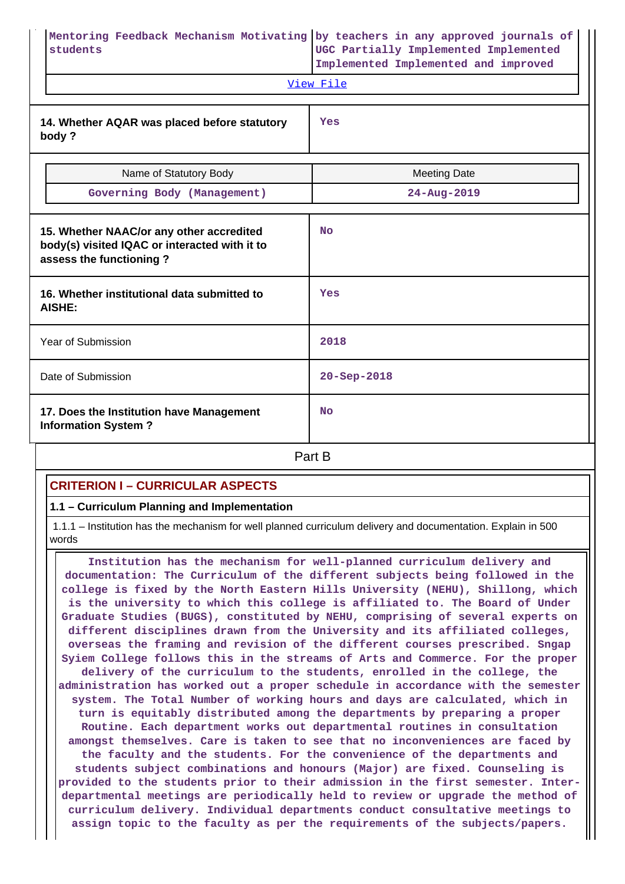| students                                                                                                             | Mentoring Feedback Mechanism Motivating by teachers in any approved journals of<br>UGC Partially Implemented Implemented<br>Implemented Implemented and improved<br>View File |  |  |  |
|----------------------------------------------------------------------------------------------------------------------|-------------------------------------------------------------------------------------------------------------------------------------------------------------------------------|--|--|--|
| 14. Whether AQAR was placed before statutory<br>body?                                                                | Yes                                                                                                                                                                           |  |  |  |
| Name of Statutory Body                                                                                               | <b>Meeting Date</b>                                                                                                                                                           |  |  |  |
| Governing Body (Management)                                                                                          | $24 - Aug - 2019$                                                                                                                                                             |  |  |  |
| 15. Whether NAAC/or any other accredited<br>body(s) visited IQAC or interacted with it to<br>assess the functioning? | N <sub>O</sub>                                                                                                                                                                |  |  |  |
| 16. Whether institutional data submitted to<br><b>AISHE:</b>                                                         | Yes                                                                                                                                                                           |  |  |  |
| Year of Submission                                                                                                   | 2018                                                                                                                                                                          |  |  |  |
| Date of Submission                                                                                                   | 20-Sep-2018                                                                                                                                                                   |  |  |  |
| 17. Does the Institution have Management<br><b>Information System?</b>                                               | <b>No</b>                                                                                                                                                                     |  |  |  |
|                                                                                                                      | Part B                                                                                                                                                                        |  |  |  |

# **CRITERION I – CURRICULAR ASPECTS**

### **1.1 – Curriculum Planning and Implementation**

 1.1.1 – Institution has the mechanism for well planned curriculum delivery and documentation. Explain in 500 words

 **Institution has the mechanism for well-planned curriculum delivery and documentation: The Curriculum of the different subjects being followed in the college is fixed by the North Eastern Hills University (NEHU), Shillong, which is the university to which this college is affiliated to. The Board of Under Graduate Studies (BUGS), constituted by NEHU, comprising of several experts on different disciplines drawn from the University and its affiliated colleges, overseas the framing and revision of the different courses prescribed. Sngap Syiem College follows this in the streams of Arts and Commerce. For the proper delivery of the curriculum to the students, enrolled in the college, the administration has worked out a proper schedule in accordance with the semester system. The Total Number of working hours and days are calculated, which in turn is equitably distributed among the departments by preparing a proper Routine. Each department works out departmental routines in consultation amongst themselves. Care is taken to see that no inconveniences are faced by the faculty and the students. For the convenience of the departments and students subject combinations and honours (Major) are fixed. Counseling is provided to the students prior to their admission in the first semester. Interdepartmental meetings are periodically held to review or upgrade the method of curriculum delivery. Individual departments conduct consultative meetings to assign topic to the faculty as per the requirements of the subjects/papers.**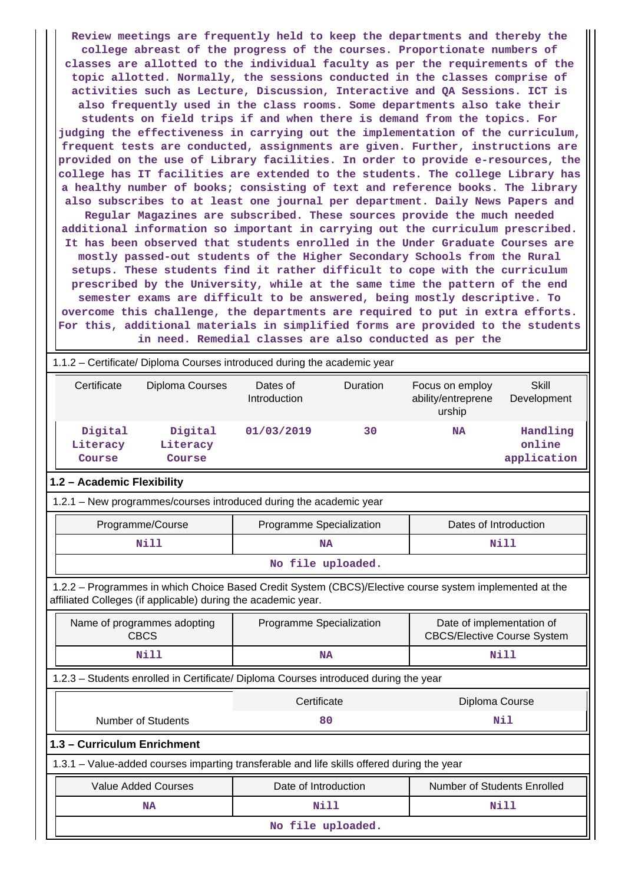**Review meetings are frequently held to keep the departments and thereby the college abreast of the progress of the courses. Proportionate numbers of classes are allotted to the individual faculty as per the requirements of the topic allotted. Normally, the sessions conducted in the classes comprise of activities such as Lecture, Discussion, Interactive and QA Sessions. ICT is also frequently used in the class rooms. Some departments also take their students on field trips if and when there is demand from the topics. For judging the effectiveness in carrying out the implementation of the curriculum, frequent tests are conducted, assignments are given. Further, instructions are provided on the use of Library facilities. In order to provide e-resources, the college has IT facilities are extended to the students. The college Library has a healthy number of books; consisting of text and reference books. The library also subscribes to at least one journal per department. Daily News Papers and Regular Magazines are subscribed. These sources provide the much needed additional information so important in carrying out the curriculum prescribed. It has been observed that students enrolled in the Under Graduate Courses are mostly passed-out students of the Higher Secondary Schools from the Rural setups. These students find it rather difficult to cope with the curriculum prescribed by the University, while at the same time the pattern of the end semester exams are difficult to be answered, being mostly descriptive. To overcome this challenge, the departments are required to put in extra efforts. For this, additional materials in simplified forms are provided to the students in need. Remedial classes are also conducted as per the**

# 1.1.2 – Certificate/ Diploma Courses introduced during the academic year Certificate Diploma Courses Dates of Duration Focus on employ

|                               |                               | Introduction |    | ability/entreprene<br>urship | Development                       |
|-------------------------------|-------------------------------|--------------|----|------------------------------|-----------------------------------|
| Digital<br>Literacy<br>Course | Digital<br>Literacy<br>Course | 01/03/2019   | 30 | <b>NA</b>                    | Handling<br>online<br>application |

**Skill** 

# **1.2 – Academic Flexibility**

1.2.1 – New programmes/courses introduced during the academic year

| Programme/Course  | Programme Specialization | Dates of Introduction |  |  |  |
|-------------------|--------------------------|-----------------------|--|--|--|
| Nill              | NA                       | Nill                  |  |  |  |
| No file uploaded. |                          |                       |  |  |  |

 1.2.2 – Programmes in which Choice Based Credit System (CBCS)/Elective course system implemented at the affiliated Colleges (if applicable) during the academic year.

|                               | Name of programmes adopting<br>CBCS                                                        | Programme Specialization | Date of implementation of<br><b>CBCS/Elective Course System</b> |  |  |  |  |  |
|-------------------------------|--------------------------------------------------------------------------------------------|--------------------------|-----------------------------------------------------------------|--|--|--|--|--|
|                               | Nill                                                                                       | Nill<br><b>NA</b>        |                                                                 |  |  |  |  |  |
|                               | 1.2.3 – Students enrolled in Certificate/ Diploma Courses introduced during the year       |                          |                                                                 |  |  |  |  |  |
| Certificate<br>Diploma Course |                                                                                            |                          |                                                                 |  |  |  |  |  |
|                               | Number of Students                                                                         | 80                       | Nil                                                             |  |  |  |  |  |
|                               | 1.3 - Curriculum Enrichment                                                                |                          |                                                                 |  |  |  |  |  |
|                               | 1.3.1 – Value-added courses imparting transferable and life skills offered during the year |                          |                                                                 |  |  |  |  |  |
|                               | <b>Value Added Courses</b>                                                                 | Date of Introduction     | <b>Number of Students Enrolled</b>                              |  |  |  |  |  |
|                               | <b>NA</b>                                                                                  | Nill                     | Nill                                                            |  |  |  |  |  |
|                               | No file uploaded.                                                                          |                          |                                                                 |  |  |  |  |  |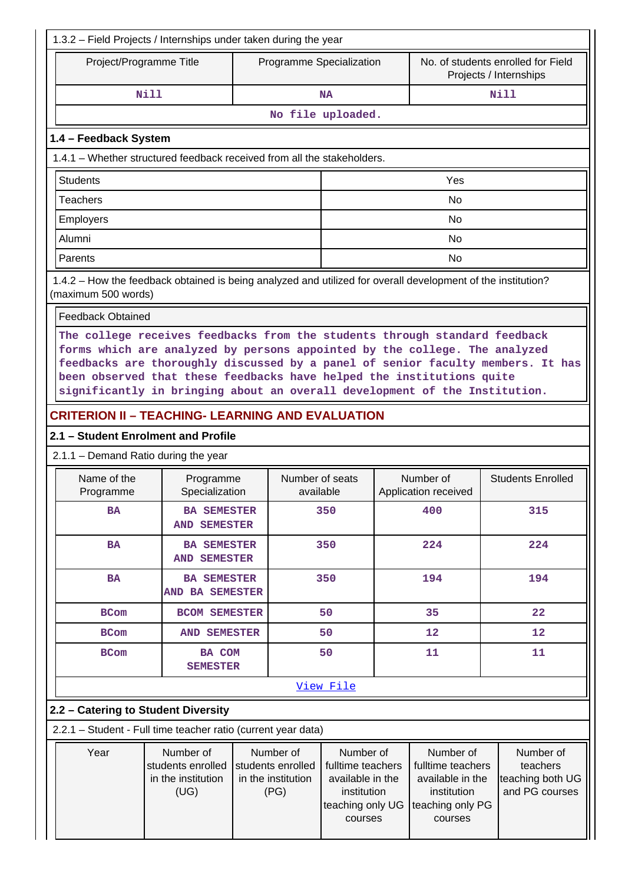| 1.3.2 - Field Projects / Internships under taken during the year |                                                                                                                                                                                                                                                                                                                                                                                                    |                                                              |  |                                                              |                                                                                                  |     |                                                                                                  |                                                              |
|------------------------------------------------------------------|----------------------------------------------------------------------------------------------------------------------------------------------------------------------------------------------------------------------------------------------------------------------------------------------------------------------------------------------------------------------------------------------------|--------------------------------------------------------------|--|--------------------------------------------------------------|--------------------------------------------------------------------------------------------------|-----|--------------------------------------------------------------------------------------------------|--------------------------------------------------------------|
|                                                                  | Project/Programme Title                                                                                                                                                                                                                                                                                                                                                                            |                                                              |  |                                                              | Programme Specialization                                                                         |     |                                                                                                  | No. of students enrolled for Field<br>Projects / Internships |
|                                                                  | <b>Nill</b>                                                                                                                                                                                                                                                                                                                                                                                        |                                                              |  |                                                              | <b>NA</b>                                                                                        |     |                                                                                                  | <b>Nill</b>                                                  |
|                                                                  |                                                                                                                                                                                                                                                                                                                                                                                                    |                                                              |  |                                                              | No file uploaded.                                                                                |     |                                                                                                  |                                                              |
|                                                                  | 1.4 - Feedback System                                                                                                                                                                                                                                                                                                                                                                              |                                                              |  |                                                              |                                                                                                  |     |                                                                                                  |                                                              |
|                                                                  | 1.4.1 – Whether structured feedback received from all the stakeholders.                                                                                                                                                                                                                                                                                                                            |                                                              |  |                                                              |                                                                                                  |     |                                                                                                  |                                                              |
|                                                                  | <b>Students</b>                                                                                                                                                                                                                                                                                                                                                                                    |                                                              |  |                                                              |                                                                                                  |     | Yes                                                                                              |                                                              |
|                                                                  | Teachers                                                                                                                                                                                                                                                                                                                                                                                           |                                                              |  |                                                              | <b>No</b>                                                                                        |     |                                                                                                  |                                                              |
|                                                                  | Employers                                                                                                                                                                                                                                                                                                                                                                                          |                                                              |  |                                                              |                                                                                                  |     | <b>No</b>                                                                                        |                                                              |
|                                                                  | Alumni                                                                                                                                                                                                                                                                                                                                                                                             |                                                              |  |                                                              |                                                                                                  |     | No                                                                                               |                                                              |
|                                                                  | Parents                                                                                                                                                                                                                                                                                                                                                                                            |                                                              |  |                                                              |                                                                                                  |     | <b>No</b>                                                                                        |                                                              |
|                                                                  | 1.4.2 - How the feedback obtained is being analyzed and utilized for overall development of the institution?<br>(maximum 500 words)                                                                                                                                                                                                                                                                |                                                              |  |                                                              |                                                                                                  |     |                                                                                                  |                                                              |
|                                                                  | <b>Feedback Obtained</b>                                                                                                                                                                                                                                                                                                                                                                           |                                                              |  |                                                              |                                                                                                  |     |                                                                                                  |                                                              |
|                                                                  | The college receives feedbacks from the students through standard feedback<br>forms which are analyzed by persons appointed by the college. The analyzed<br>feedbacks are thoroughly discussed by a panel of senior faculty members. It has<br>been observed that these feedbacks have helped the institutions quite<br>significantly in bringing about an overall development of the Institution. |                                                              |  |                                                              |                                                                                                  |     |                                                                                                  |                                                              |
|                                                                  | <b>CRITERION II - TEACHING- LEARNING AND EVALUATION</b>                                                                                                                                                                                                                                                                                                                                            |                                                              |  |                                                              |                                                                                                  |     |                                                                                                  |                                                              |
|                                                                  | 2.1 - Student Enrolment and Profile                                                                                                                                                                                                                                                                                                                                                                |                                                              |  |                                                              |                                                                                                  |     |                                                                                                  |                                                              |
|                                                                  | 2.1.1 - Demand Ratio during the year                                                                                                                                                                                                                                                                                                                                                               |                                                              |  |                                                              |                                                                                                  |     |                                                                                                  |                                                              |
|                                                                  | Name of the<br>Programme                                                                                                                                                                                                                                                                                                                                                                           | Programme<br>Specialization                                  |  | Number of seats<br>available                                 |                                                                                                  |     | Number of<br>Application received                                                                | <b>Students Enrolled</b>                                     |
|                                                                  | <b>BA</b>                                                                                                                                                                                                                                                                                                                                                                                          | <b>BA SEMESTER</b><br><b>AND SEMESTER</b>                    |  |                                                              | 350                                                                                              | 400 |                                                                                                  | 315                                                          |
|                                                                  | <b>BA</b>                                                                                                                                                                                                                                                                                                                                                                                          | <b>BA SEMESTER</b><br><b>AND SEMESTER</b>                    |  |                                                              | 350                                                                                              | 224 |                                                                                                  | 224                                                          |
|                                                                  | <b>BA</b>                                                                                                                                                                                                                                                                                                                                                                                          | <b>BA SEMESTER</b><br>AND BA SEMESTER                        |  |                                                              | 350                                                                                              | 194 |                                                                                                  | 194                                                          |
|                                                                  | <b>BCom</b>                                                                                                                                                                                                                                                                                                                                                                                        | <b>BCOM SEMESTER</b>                                         |  |                                                              | 50                                                                                               |     | 35                                                                                               | 22                                                           |
|                                                                  | <b>BCom</b>                                                                                                                                                                                                                                                                                                                                                                                        | <b>AND SEMESTER</b>                                          |  |                                                              | 50                                                                                               |     | 12                                                                                               | 12                                                           |
|                                                                  | <b>BCom</b>                                                                                                                                                                                                                                                                                                                                                                                        | <b>BA COM</b><br><b>SEMESTER</b>                             |  |                                                              | 50                                                                                               |     | 11                                                                                               | 11                                                           |
|                                                                  |                                                                                                                                                                                                                                                                                                                                                                                                    |                                                              |  |                                                              | View File                                                                                        |     |                                                                                                  |                                                              |
|                                                                  | 2.2 - Catering to Student Diversity                                                                                                                                                                                                                                                                                                                                                                |                                                              |  |                                                              |                                                                                                  |     |                                                                                                  |                                                              |
|                                                                  | 2.2.1 - Student - Full time teacher ratio (current year data)                                                                                                                                                                                                                                                                                                                                      |                                                              |  |                                                              |                                                                                                  |     |                                                                                                  |                                                              |
|                                                                  | Year                                                                                                                                                                                                                                                                                                                                                                                               | Number of<br>students enrolled<br>in the institution<br>(UG) |  | Number of<br>students enrolled<br>in the institution<br>(PG) | Number of<br>fulltime teachers<br>available in the<br>institution<br>teaching only UG<br>courses |     | Number of<br>fulltime teachers<br>available in the<br>institution<br>teaching only PG<br>courses | Number of<br>teachers<br>teaching both UG<br>and PG courses  |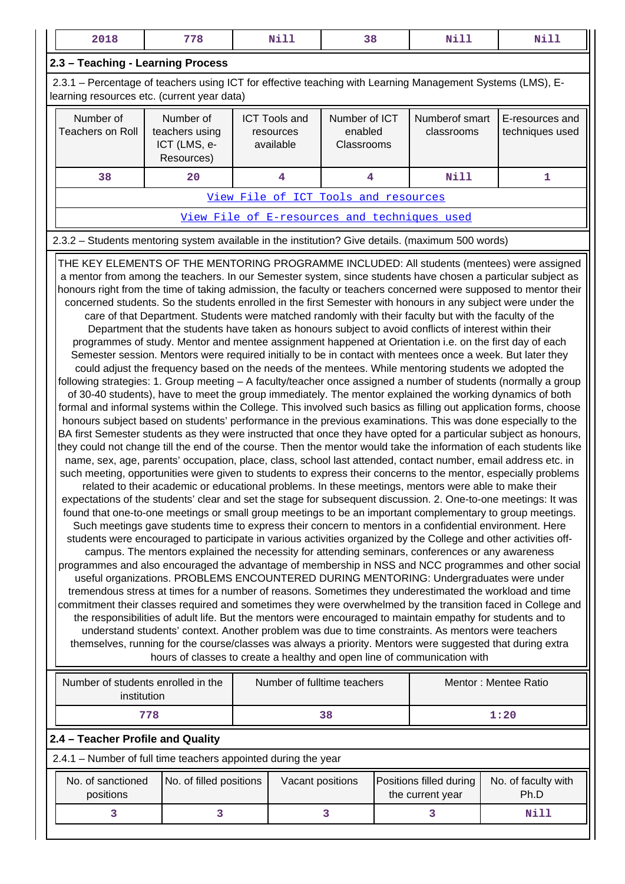| 2018                                                                                                                                                                                                                                                                                                                                                                                                                                                                                                                                                                                                                                                                                                                                                                                                                                                                                                                                                                                                                                                                                                                                                                                                                                                                                                                                                                                                                                                                                                                                                                                                                                                                                                                                                                                                                                                                                                                                                                                                                                                                                                                                                                                                                                                                                                                                                                                                                                                                                                                                                                                                                                                                                                                                                                                                                                                                                                                                                                                                                                                                                                                                                                                                                                                                                                                                                                                                                                                                                     | 778                                                                                               |                                                | Nill             | 38                                     |  | Nill                                         |  | <b>Nill</b>                        |
|------------------------------------------------------------------------------------------------------------------------------------------------------------------------------------------------------------------------------------------------------------------------------------------------------------------------------------------------------------------------------------------------------------------------------------------------------------------------------------------------------------------------------------------------------------------------------------------------------------------------------------------------------------------------------------------------------------------------------------------------------------------------------------------------------------------------------------------------------------------------------------------------------------------------------------------------------------------------------------------------------------------------------------------------------------------------------------------------------------------------------------------------------------------------------------------------------------------------------------------------------------------------------------------------------------------------------------------------------------------------------------------------------------------------------------------------------------------------------------------------------------------------------------------------------------------------------------------------------------------------------------------------------------------------------------------------------------------------------------------------------------------------------------------------------------------------------------------------------------------------------------------------------------------------------------------------------------------------------------------------------------------------------------------------------------------------------------------------------------------------------------------------------------------------------------------------------------------------------------------------------------------------------------------------------------------------------------------------------------------------------------------------------------------------------------------------------------------------------------------------------------------------------------------------------------------------------------------------------------------------------------------------------------------------------------------------------------------------------------------------------------------------------------------------------------------------------------------------------------------------------------------------------------------------------------------------------------------------------------------------------------------------------------------------------------------------------------------------------------------------------------------------------------------------------------------------------------------------------------------------------------------------------------------------------------------------------------------------------------------------------------------------------------------------------------------------------------------------------------------|---------------------------------------------------------------------------------------------------|------------------------------------------------|------------------|----------------------------------------|--|----------------------------------------------|--|------------------------------------|
| 2.3 - Teaching - Learning Process                                                                                                                                                                                                                                                                                                                                                                                                                                                                                                                                                                                                                                                                                                                                                                                                                                                                                                                                                                                                                                                                                                                                                                                                                                                                                                                                                                                                                                                                                                                                                                                                                                                                                                                                                                                                                                                                                                                                                                                                                                                                                                                                                                                                                                                                                                                                                                                                                                                                                                                                                                                                                                                                                                                                                                                                                                                                                                                                                                                                                                                                                                                                                                                                                                                                                                                                                                                                                                                        |                                                                                                   |                                                |                  |                                        |  |                                              |  |                                    |
| 2.3.1 – Percentage of teachers using ICT for effective teaching with Learning Management Systems (LMS), E-<br>learning resources etc. (current year data)                                                                                                                                                                                                                                                                                                                                                                                                                                                                                                                                                                                                                                                                                                                                                                                                                                                                                                                                                                                                                                                                                                                                                                                                                                                                                                                                                                                                                                                                                                                                                                                                                                                                                                                                                                                                                                                                                                                                                                                                                                                                                                                                                                                                                                                                                                                                                                                                                                                                                                                                                                                                                                                                                                                                                                                                                                                                                                                                                                                                                                                                                                                                                                                                                                                                                                                                |                                                                                                   |                                                |                  |                                        |  |                                              |  |                                    |
| Number of<br><b>Teachers on Roll</b>                                                                                                                                                                                                                                                                                                                                                                                                                                                                                                                                                                                                                                                                                                                                                                                                                                                                                                                                                                                                                                                                                                                                                                                                                                                                                                                                                                                                                                                                                                                                                                                                                                                                                                                                                                                                                                                                                                                                                                                                                                                                                                                                                                                                                                                                                                                                                                                                                                                                                                                                                                                                                                                                                                                                                                                                                                                                                                                                                                                                                                                                                                                                                                                                                                                                                                                                                                                                                                                     | Number of<br>teachers using<br>ICT (LMS, e-<br>Resources)                                         | <b>ICT Tools and</b><br>resources<br>available |                  | Number of ICT<br>enabled<br>Classrooms |  | Numberof smart<br>classrooms                 |  | E-resources and<br>techniques used |
| 38                                                                                                                                                                                                                                                                                                                                                                                                                                                                                                                                                                                                                                                                                                                                                                                                                                                                                                                                                                                                                                                                                                                                                                                                                                                                                                                                                                                                                                                                                                                                                                                                                                                                                                                                                                                                                                                                                                                                                                                                                                                                                                                                                                                                                                                                                                                                                                                                                                                                                                                                                                                                                                                                                                                                                                                                                                                                                                                                                                                                                                                                                                                                                                                                                                                                                                                                                                                                                                                                                       | 20                                                                                                |                                                | 4                | 4                                      |  | <b>Nill</b>                                  |  | 1                                  |
|                                                                                                                                                                                                                                                                                                                                                                                                                                                                                                                                                                                                                                                                                                                                                                                                                                                                                                                                                                                                                                                                                                                                                                                                                                                                                                                                                                                                                                                                                                                                                                                                                                                                                                                                                                                                                                                                                                                                                                                                                                                                                                                                                                                                                                                                                                                                                                                                                                                                                                                                                                                                                                                                                                                                                                                                                                                                                                                                                                                                                                                                                                                                                                                                                                                                                                                                                                                                                                                                                          |                                                                                                   |                                                |                  | View File of ICT Tools and resources   |  |                                              |  |                                    |
|                                                                                                                                                                                                                                                                                                                                                                                                                                                                                                                                                                                                                                                                                                                                                                                                                                                                                                                                                                                                                                                                                                                                                                                                                                                                                                                                                                                                                                                                                                                                                                                                                                                                                                                                                                                                                                                                                                                                                                                                                                                                                                                                                                                                                                                                                                                                                                                                                                                                                                                                                                                                                                                                                                                                                                                                                                                                                                                                                                                                                                                                                                                                                                                                                                                                                                                                                                                                                                                                                          |                                                                                                   |                                                |                  |                                        |  | View File of E-resources and techniques used |  |                                    |
|                                                                                                                                                                                                                                                                                                                                                                                                                                                                                                                                                                                                                                                                                                                                                                                                                                                                                                                                                                                                                                                                                                                                                                                                                                                                                                                                                                                                                                                                                                                                                                                                                                                                                                                                                                                                                                                                                                                                                                                                                                                                                                                                                                                                                                                                                                                                                                                                                                                                                                                                                                                                                                                                                                                                                                                                                                                                                                                                                                                                                                                                                                                                                                                                                                                                                                                                                                                                                                                                                          | 2.3.2 - Students mentoring system available in the institution? Give details. (maximum 500 words) |                                                |                  |                                        |  |                                              |  |                                    |
| THE KEY ELEMENTS OF THE MENTORING PROGRAMME INCLUDED: All students (mentees) were assigned<br>a mentor from among the teachers. In our Semester system, since students have chosen a particular subject as<br>honours right from the time of taking admission, the faculty or teachers concerned were supposed to mentor their<br>concerned students. So the students enrolled in the first Semester with honours in any subject were under the<br>care of that Department. Students were matched randomly with their faculty but with the faculty of the<br>Department that the students have taken as honours subject to avoid conflicts of interest within their<br>programmes of study. Mentor and mentee assignment happened at Orientation i.e. on the first day of each<br>Semester session. Mentors were required initially to be in contact with mentees once a week. But later they<br>could adjust the frequency based on the needs of the mentees. While mentoring students we adopted the<br>following strategies: 1. Group meeting - A faculty/teacher once assigned a number of students (normally a group<br>of 30-40 students), have to meet the group immediately. The mentor explained the working dynamics of both<br>formal and informal systems within the College. This involved such basics as filling out application forms, choose<br>honours subject based on students' performance in the previous examinations. This was done especially to the<br>BA first Semester students as they were instructed that once they have opted for a particular subject as honours,<br>they could not change till the end of the course. Then the mentor would take the information of each students like<br>name, sex, age, parents' occupation, place, class, school last attended, contact number, email address etc. in<br>such meeting, opportunities were given to students to express their concerns to the mentor, especially problems<br>related to their academic or educational problems. In these meetings, mentors were able to make their<br>expectations of the students' clear and set the stage for subsequent discussion. 2. One-to-one meetings: It was<br>found that one-to-one meetings or small group meetings to be an important complementary to group meetings.<br>Such meetings gave students time to express their concern to mentors in a confidential environment. Here<br>students were encouraged to participate in various activities organized by the College and other activities off-<br>campus. The mentors explained the necessity for attending seminars, conferences or any awareness<br>programmes and also encouraged the advantage of membership in NSS and NCC programmes and other social<br>useful organizations. PROBLEMS ENCOUNTERED DURING MENTORING: Undergraduates were under<br>tremendous stress at times for a number of reasons. Sometimes they underestimated the workload and time<br>commitment their classes required and sometimes they were overwhelmed by the transition faced in College and<br>the responsibilities of adult life. But the mentors were encouraged to maintain empathy for students and to<br>understand students' context. Another problem was due to time constraints. As mentors were teachers<br>themselves, running for the course/classes was always a priority. Mentors were suggested that during extra<br>hours of classes to create a healthy and open line of communication with |                                                                                                   |                                                |                  |                                        |  |                                              |  |                                    |
| institution                                                                                                                                                                                                                                                                                                                                                                                                                                                                                                                                                                                                                                                                                                                                                                                                                                                                                                                                                                                                                                                                                                                                                                                                                                                                                                                                                                                                                                                                                                                                                                                                                                                                                                                                                                                                                                                                                                                                                                                                                                                                                                                                                                                                                                                                                                                                                                                                                                                                                                                                                                                                                                                                                                                                                                                                                                                                                                                                                                                                                                                                                                                                                                                                                                                                                                                                                                                                                                                                              |                                                                                                   |                                                |                  |                                        |  |                                              |  |                                    |
|                                                                                                                                                                                                                                                                                                                                                                                                                                                                                                                                                                                                                                                                                                                                                                                                                                                                                                                                                                                                                                                                                                                                                                                                                                                                                                                                                                                                                                                                                                                                                                                                                                                                                                                                                                                                                                                                                                                                                                                                                                                                                                                                                                                                                                                                                                                                                                                                                                                                                                                                                                                                                                                                                                                                                                                                                                                                                                                                                                                                                                                                                                                                                                                                                                                                                                                                                                                                                                                                                          | 778                                                                                               |                                                |                  | 38                                     |  |                                              |  | 1:20                               |
| 2.4 - Teacher Profile and Quality                                                                                                                                                                                                                                                                                                                                                                                                                                                                                                                                                                                                                                                                                                                                                                                                                                                                                                                                                                                                                                                                                                                                                                                                                                                                                                                                                                                                                                                                                                                                                                                                                                                                                                                                                                                                                                                                                                                                                                                                                                                                                                                                                                                                                                                                                                                                                                                                                                                                                                                                                                                                                                                                                                                                                                                                                                                                                                                                                                                                                                                                                                                                                                                                                                                                                                                                                                                                                                                        | 2.4.1 - Number of full time teachers appointed during the year                                    |                                                |                  |                                        |  |                                              |  |                                    |
| No. of sanctioned<br>positions                                                                                                                                                                                                                                                                                                                                                                                                                                                                                                                                                                                                                                                                                                                                                                                                                                                                                                                                                                                                                                                                                                                                                                                                                                                                                                                                                                                                                                                                                                                                                                                                                                                                                                                                                                                                                                                                                                                                                                                                                                                                                                                                                                                                                                                                                                                                                                                                                                                                                                                                                                                                                                                                                                                                                                                                                                                                                                                                                                                                                                                                                                                                                                                                                                                                                                                                                                                                                                                           | No. of filled positions                                                                           |                                                | Vacant positions |                                        |  | Positions filled during<br>the current year  |  | No. of faculty with<br>Ph.D        |

 **3 3 3 3 Nill**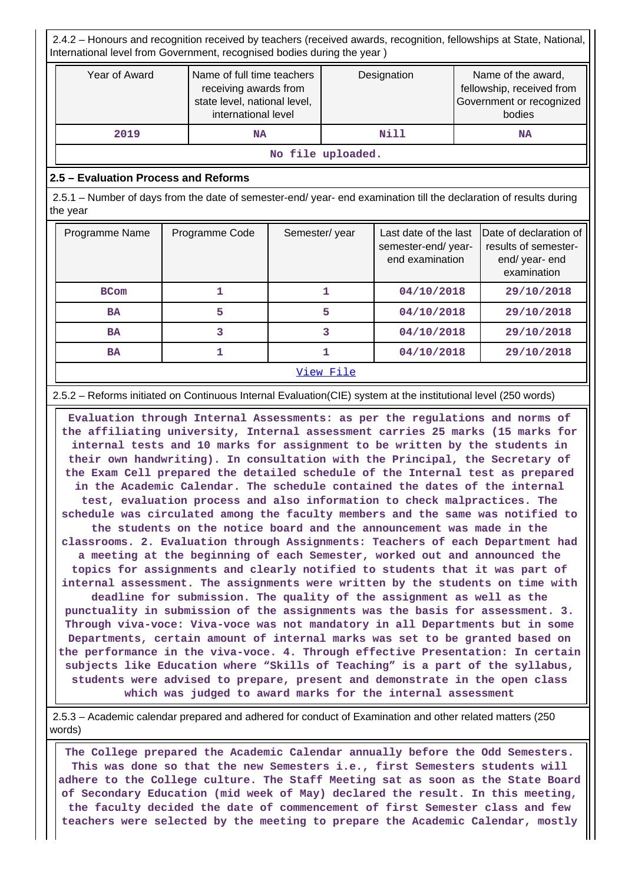2.4.2 – Honours and recognition received by teachers (received awards, recognition, fellowships at State, National, International level from Government, recognised bodies during the year )

| Year of Award | Name of full time teachers<br>receiving awards from<br>state level, national level,<br>international level | Designation | Name of the award,<br>fellowship, received from<br>Government or recognized<br>bodies |
|---------------|------------------------------------------------------------------------------------------------------------|-------------|---------------------------------------------------------------------------------------|
| 2019          | NA                                                                                                         | Nill        | NA                                                                                    |

**No file uploaded.**

# **2.5 – Evaluation Process and Reforms**

 2.5.1 – Number of days from the date of semester-end/ year- end examination till the declaration of results during the year

| Programme Name | Programme Code | Semester/year | Last date of the last<br>semester-end/year-<br>end examination | Date of declaration of<br>results of semester-<br>end/year-end<br>examination |
|----------------|----------------|---------------|----------------------------------------------------------------|-------------------------------------------------------------------------------|
| <b>BCom</b>    |                |               | 04/10/2018                                                     | 29/10/2018                                                                    |
| <b>BA</b>      | 5              | 5             | 04/10/2018                                                     | 29/10/2018                                                                    |
| <b>BA</b>      |                |               | 04/10/2018                                                     | 29/10/2018                                                                    |
| <b>BA</b>      |                |               | 04/10/2018                                                     | 29/10/2018                                                                    |
|                |                | View File     |                                                                |                                                                               |

### 2.5.2 – Reforms initiated on Continuous Internal Evaluation(CIE) system at the institutional level (250 words)

 **Evaluation through Internal Assessments: as per the regulations and norms of the affiliating university, Internal assessment carries 25 marks (15 marks for internal tests and 10 marks for assignment to be written by the students in their own handwriting). In consultation with the Principal, the Secretary of the Exam Cell prepared the detailed schedule of the Internal test as prepared in the Academic Calendar. The schedule contained the dates of the internal test, evaluation process and also information to check malpractices. The schedule was circulated among the faculty members and the same was notified to the students on the notice board and the announcement was made in the classrooms. 2. Evaluation through Assignments: Teachers of each Department had a meeting at the beginning of each Semester, worked out and announced the topics for assignments and clearly notified to students that it was part of internal assessment. The assignments were written by the students on time with deadline for submission. The quality of the assignment as well as the punctuality in submission of the assignments was the basis for assessment. 3. Through viva-voce: Viva-voce was not mandatory in all Departments but in some Departments, certain amount of internal marks was set to be granted based on the performance in the viva-voce. 4. Through effective Presentation: In certain subjects like Education where "Skills of Teaching" is a part of the syllabus, students were advised to prepare, present and demonstrate in the open class which was judged to award marks for the internal assessment**

 2.5.3 – Academic calendar prepared and adhered for conduct of Examination and other related matters (250 words)

 **The College prepared the Academic Calendar annually before the Odd Semesters. This was done so that the new Semesters i.e., first Semesters students will adhere to the College culture. The Staff Meeting sat as soon as the State Board of Secondary Education (mid week of May) declared the result. In this meeting, the faculty decided the date of commencement of first Semester class and few teachers were selected by the meeting to prepare the Academic Calendar, mostly**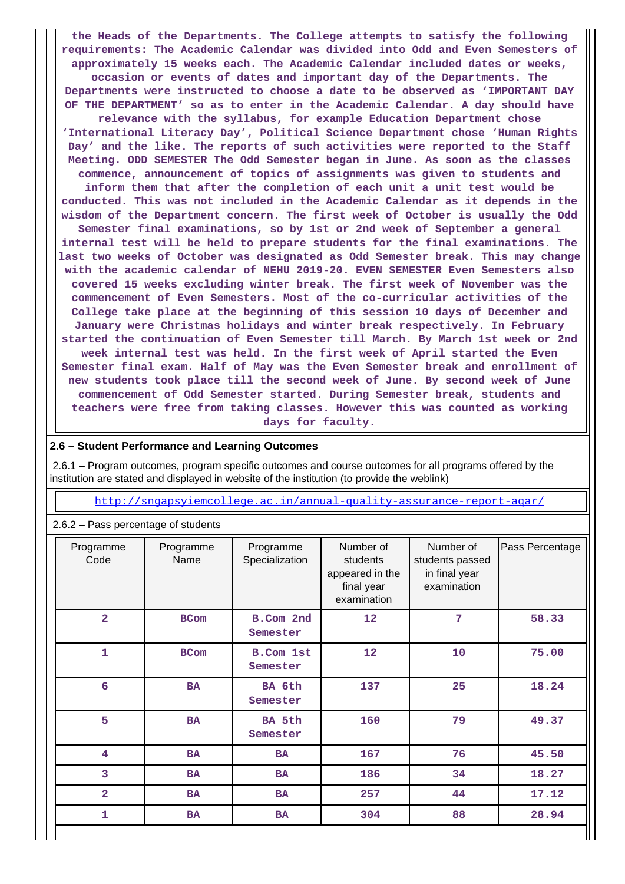**the Heads of the Departments. The College attempts to satisfy the following requirements: The Academic Calendar was divided into Odd and Even Semesters of approximately 15 weeks each. The Academic Calendar included dates or weeks, occasion or events of dates and important day of the Departments. The Departments were instructed to choose a date to be observed as 'IMPORTANT DAY OF THE DEPARTMENT' so as to enter in the Academic Calendar. A day should have relevance with the syllabus, for example Education Department chose 'International Literacy Day', Political Science Department chose 'Human Rights Day' and the like. The reports of such activities were reported to the Staff Meeting. ODD SEMESTER The Odd Semester began in June. As soon as the classes commence, announcement of topics of assignments was given to students and inform them that after the completion of each unit a unit test would be conducted. This was not included in the Academic Calendar as it depends in the wisdom of the Department concern. The first week of October is usually the Odd Semester final examinations, so by 1st or 2nd week of September a general internal test will be held to prepare students for the final examinations. The last two weeks of October was designated as Odd Semester break. This may change with the academic calendar of NEHU 2019-20. EVEN SEMESTER Even Semesters also covered 15 weeks excluding winter break. The first week of November was the commencement of Even Semesters. Most of the co-curricular activities of the College take place at the beginning of this session 10 days of December and January were Christmas holidays and winter break respectively. In February started the continuation of Even Semester till March. By March 1st week or 2nd week internal test was held. In the first week of April started the Even Semester final exam. Half of May was the Even Semester break and enrollment of new students took place till the second week of June. By second week of June commencement of Odd Semester started. During Semester break, students and teachers were free from taking classes. However this was counted as working days for faculty.**

#### **2.6 – Student Performance and Learning Outcomes**

 2.6.1 – Program outcomes, program specific outcomes and course outcomes for all programs offered by the institution are stated and displayed in website of the institution (to provide the weblink)

<http://sngapsyiemcollege.ac.in/annual-quality-assurance-report-aqar/>

| 2.6.2 - Pass percentage of students |                   |                              |                                                                       |                                                              |                 |
|-------------------------------------|-------------------|------------------------------|-----------------------------------------------------------------------|--------------------------------------------------------------|-----------------|
| Programme<br>Code                   | Programme<br>Name | Programme<br>Specialization  | Number of<br>students<br>appeared in the<br>final year<br>examination | Number of<br>students passed<br>in final year<br>examination | Pass Percentage |
| $\overline{2}$                      | <b>BCom</b>       | B.Com 2nd<br>Semester        | 12                                                                    | 7                                                            | 58.33           |
| 1                                   | <b>BCom</b>       | <b>B.Com 1st</b><br>Semester | 12                                                                    | 10                                                           | 75.00           |
| 6                                   | <b>BA</b>         | BA 6th<br>Semester           | 137                                                                   | 25                                                           | 18.24           |
| 5                                   | <b>BA</b>         | BA 5th<br>Semester           | 160                                                                   | 79                                                           | 49.37           |
| 4                                   | <b>BA</b>         | <b>BA</b>                    | 167                                                                   | 76                                                           | 45.50           |
| 3                                   | <b>BA</b>         | <b>BA</b>                    | 186                                                                   | 34                                                           | 18.27           |
| $\overline{\mathbf{2}}$             | <b>BA</b>         | <b>BA</b>                    | 257                                                                   | 44                                                           | 17.12           |
| 1                                   | <b>BA</b>         | <b>BA</b>                    | 304                                                                   | 88                                                           | 28.94           |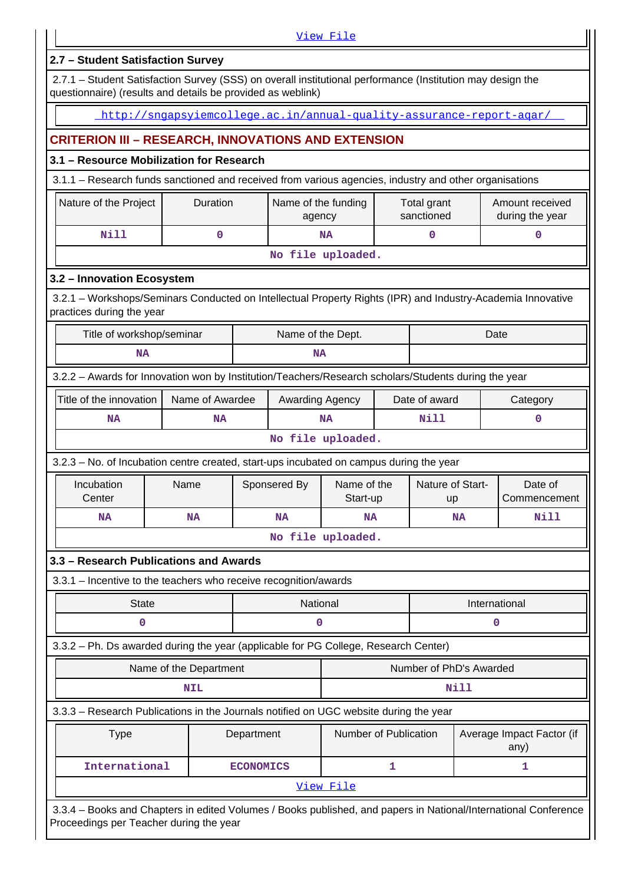|                                                                                                                                                                           |                                                                      |                  |                               | View File               |   |                           |      |                                    |
|---------------------------------------------------------------------------------------------------------------------------------------------------------------------------|----------------------------------------------------------------------|------------------|-------------------------------|-------------------------|---|---------------------------|------|------------------------------------|
| 2.7 - Student Satisfaction Survey                                                                                                                                         |                                                                      |                  |                               |                         |   |                           |      |                                    |
| 2.7.1 - Student Satisfaction Survey (SSS) on overall institutional performance (Institution may design the<br>questionnaire) (results and details be provided as weblink) |                                                                      |                  |                               |                         |   |                           |      |                                    |
|                                                                                                                                                                           | http://snqapsyiemcollege.ac.in/annual-quality-assurance-report-agar/ |                  |                               |                         |   |                           |      |                                    |
| <b>CRITERION III - RESEARCH, INNOVATIONS AND EXTENSION</b>                                                                                                                |                                                                      |                  |                               |                         |   |                           |      |                                    |
| 3.1 - Resource Mobilization for Research                                                                                                                                  |                                                                      |                  |                               |                         |   |                           |      |                                    |
| 3.1.1 – Research funds sanctioned and received from various agencies, industry and other organisations                                                                    |                                                                      |                  |                               |                         |   |                           |      |                                    |
| Nature of the Project                                                                                                                                                     | Duration                                                             |                  | Name of the funding<br>agency |                         |   | Total grant<br>sanctioned |      | Amount received<br>during the year |
| <b>Nill</b>                                                                                                                                                               | $\mathbf 0$                                                          |                  |                               | <b>NA</b>               |   | 0                         |      | 0                                  |
|                                                                                                                                                                           |                                                                      |                  |                               | No file uploaded.       |   |                           |      |                                    |
| 3.2 - Innovation Ecosystem                                                                                                                                                |                                                                      |                  |                               |                         |   |                           |      |                                    |
| 3.2.1 - Workshops/Seminars Conducted on Intellectual Property Rights (IPR) and Industry-Academia Innovative<br>practices during the year                                  |                                                                      |                  |                               |                         |   |                           |      |                                    |
| Title of workshop/seminar<br>Name of the Dept.<br>Date                                                                                                                    |                                                                      |                  |                               |                         |   |                           |      |                                    |
| <b>NA</b><br><b>NA</b>                                                                                                                                                    |                                                                      |                  |                               |                         |   |                           |      |                                    |
| 3.2.2 - Awards for Innovation won by Institution/Teachers/Research scholars/Students during the year                                                                      |                                                                      |                  |                               |                         |   |                           |      |                                    |
| Title of the innovation                                                                                                                                                   | Name of Awardee                                                      |                  | Awarding Agency               |                         |   | Date of award             |      | Category                           |
| <b>NA</b>                                                                                                                                                                 | ΝA                                                                   |                  |                               | <b>NA</b>               |   | Nill                      |      | 0                                  |
|                                                                                                                                                                           |                                                                      |                  |                               | No file uploaded.       |   |                           |      |                                    |
| 3.2.3 – No. of Incubation centre created, start-ups incubated on campus during the year                                                                                   |                                                                      |                  |                               |                         |   |                           |      |                                    |
| Incubation<br>Center                                                                                                                                                      | Name                                                                 |                  | Sponsered By                  | Name of the<br>Start-up |   | Nature of Start-<br>up    |      | Date of<br>Commencement            |
| <b>NA</b>                                                                                                                                                                 | NA                                                                   |                  | <b>NA</b>                     | <b>NA</b>               |   | <b>NA</b>                 |      | Nill                               |
|                                                                                                                                                                           |                                                                      |                  |                               | No file uploaded.       |   |                           |      |                                    |
| 3.3 - Research Publications and Awards                                                                                                                                    |                                                                      |                  |                               |                         |   |                           |      |                                    |
| 3.3.1 - Incentive to the teachers who receive recognition/awards                                                                                                          |                                                                      |                  |                               |                         |   |                           |      |                                    |
| <b>State</b>                                                                                                                                                              |                                                                      |                  | National                      |                         |   |                           |      | International                      |
| 0                                                                                                                                                                         |                                                                      |                  | 0                             |                         |   |                           |      | 0                                  |
| 3.3.2 - Ph. Ds awarded during the year (applicable for PG College, Research Center)                                                                                       |                                                                      |                  |                               |                         |   |                           |      |                                    |
|                                                                                                                                                                           | Name of the Department                                               |                  |                               |                         |   | Number of PhD's Awarded   |      |                                    |
|                                                                                                                                                                           | <b>NIL</b>                                                           |                  |                               |                         |   |                           | Nill |                                    |
| 3.3.3 - Research Publications in the Journals notified on UGC website during the year                                                                                     |                                                                      |                  |                               |                         |   |                           |      |                                    |
| <b>Type</b>                                                                                                                                                               |                                                                      | Department       |                               | Number of Publication   |   |                           |      | Average Impact Factor (if<br>any)  |
| International                                                                                                                                                             |                                                                      | <b>ECONOMICS</b> |                               |                         | 1 |                           |      | 1                                  |
|                                                                                                                                                                           |                                                                      |                  |                               | View File               |   |                           |      |                                    |
| 3.3.4 - Books and Chapters in edited Volumes / Books published, and papers in National/International Conference<br>Proceedings per Teacher during the year                |                                                                      |                  |                               |                         |   |                           |      |                                    |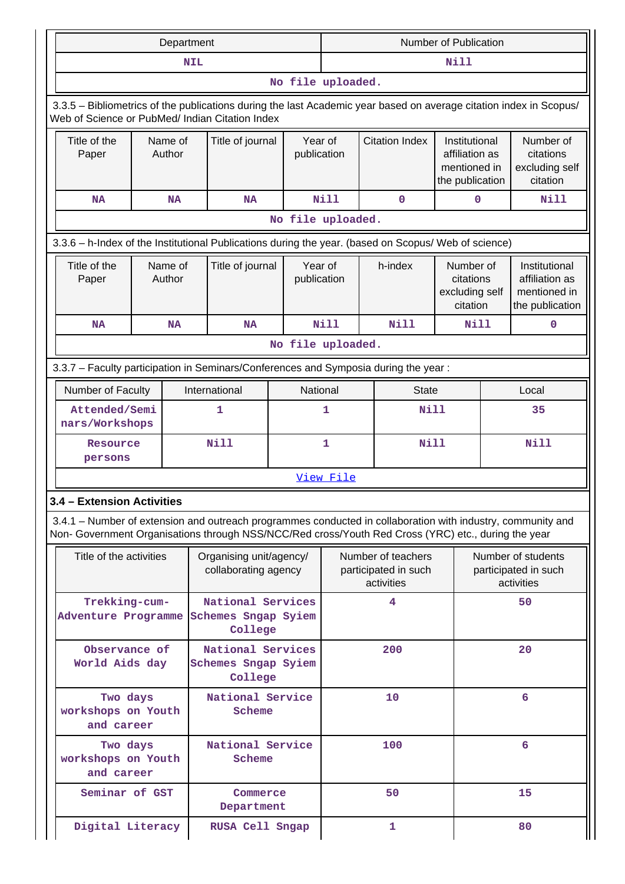|                                                                                                                                                                                                                    |                   | Department |                                                     |                   | <b>Number of Publication</b> |                                                          |              |                                                                    |                                                          |                                                                    |
|--------------------------------------------------------------------------------------------------------------------------------------------------------------------------------------------------------------------|-------------------|------------|-----------------------------------------------------|-------------------|------------------------------|----------------------------------------------------------|--------------|--------------------------------------------------------------------|----------------------------------------------------------|--------------------------------------------------------------------|
|                                                                                                                                                                                                                    |                   | <b>NIL</b> |                                                     |                   |                              |                                                          |              | Nill                                                               |                                                          |                                                                    |
|                                                                                                                                                                                                                    |                   |            |                                                     | No file uploaded. |                              |                                                          |              |                                                                    |                                                          |                                                                    |
| 3.3.5 - Bibliometrics of the publications during the last Academic year based on average citation index in Scopus/<br>Web of Science or PubMed/ Indian Citation Index                                              |                   |            |                                                     |                   |                              |                                                          |              |                                                                    |                                                          |                                                                    |
| Title of the<br>Paper                                                                                                                                                                                              | Name of<br>Author |            |                                                     | Title of journal  |                              | <b>Citation Index</b><br>Year of<br>publication          |              | Institutional<br>affiliation as<br>mentioned in<br>the publication |                                                          | Number of<br>citations<br>excluding self<br>citation               |
| <b>NA</b>                                                                                                                                                                                                          |                   | <b>NA</b>  | <b>NA</b>                                           |                   | Nill                         |                                                          | 0            | 0                                                                  |                                                          | Nill                                                               |
|                                                                                                                                                                                                                    |                   |            |                                                     | No file uploaded. |                              |                                                          |              |                                                                    |                                                          |                                                                    |
| 3.3.6 - h-Index of the Institutional Publications during the year. (based on Scopus/ Web of science)                                                                                                               |                   |            |                                                     |                   |                              |                                                          |              |                                                                    |                                                          |                                                                    |
| Title of the<br>Name of<br>Author<br>Paper                                                                                                                                                                         |                   |            | Title of journal                                    |                   | Year of<br>publication       |                                                          | h-index      | Number of<br>citations<br>excluding self<br>citation               |                                                          | Institutional<br>affiliation as<br>mentioned in<br>the publication |
| <b>NA</b><br><b>NA</b>                                                                                                                                                                                             |                   |            | <b>NA</b>                                           |                   | Nill                         |                                                          | <b>Nill</b>  | Nill                                                               |                                                          | $\mathbf 0$                                                        |
|                                                                                                                                                                                                                    |                   |            |                                                     | No file uploaded. |                              |                                                          |              |                                                                    |                                                          |                                                                    |
| 3.3.7 - Faculty participation in Seminars/Conferences and Symposia during the year:                                                                                                                                |                   |            |                                                     |                   |                              |                                                          |              |                                                                    |                                                          |                                                                    |
| Number of Faculty                                                                                                                                                                                                  |                   |            | International                                       | National<br>1     |                              |                                                          | <b>State</b> |                                                                    |                                                          | Local                                                              |
| Attended/Semi<br>nars/Workshops                                                                                                                                                                                    |                   |            | 1                                                   |                   |                              |                                                          | Nill         |                                                                    |                                                          | 35                                                                 |
| Resource<br>persons                                                                                                                                                                                                |                   |            | <b>Nill</b>                                         | 1                 |                              |                                                          | Nill         |                                                                    |                                                          | <b>Nill</b>                                                        |
|                                                                                                                                                                                                                    |                   |            |                                                     |                   | View File                    |                                                          |              |                                                                    |                                                          |                                                                    |
| 3.4 - Extension Activities                                                                                                                                                                                         |                   |            |                                                     |                   |                              |                                                          |              |                                                                    |                                                          |                                                                    |
| 3.4.1 – Number of extension and outreach programmes conducted in collaboration with industry, community and<br>Non- Government Organisations through NSS/NCC/Red cross/Youth Red Cross (YRC) etc., during the year |                   |            |                                                     |                   |                              |                                                          |              |                                                                    |                                                          |                                                                    |
| Title of the activities                                                                                                                                                                                            |                   |            | Organising unit/agency/<br>collaborating agency     |                   |                              | Number of teachers<br>participated in such<br>activities |              |                                                                    | Number of students<br>participated in such<br>activities |                                                                    |
| Trekking-cum-<br>Adventure Programme                                                                                                                                                                               |                   |            | National Services<br>Schemes Sngap Syiem<br>College |                   |                              |                                                          | 4            |                                                                    | 50                                                       |                                                                    |
| Observance of<br>World Aids day                                                                                                                                                                                    |                   |            | National Services<br>Schemes Sngap Syiem<br>College |                   |                              |                                                          | 200          |                                                                    |                                                          | 20                                                                 |
| Two days<br>workshops on Youth<br>and career                                                                                                                                                                       |                   |            | National Service<br>Scheme                          |                   |                              | 10                                                       |              |                                                                    | 6                                                        |                                                                    |
| Two days<br>workshops on Youth<br>and career                                                                                                                                                                       |                   |            | National Service<br>Scheme                          |                   |                              |                                                          | 100          |                                                                    | 6                                                        |                                                                    |
| Seminar of GST                                                                                                                                                                                                     |                   |            | Commerce<br>Department                              |                   |                              |                                                          | 50           |                                                                    |                                                          | 15                                                                 |
| Digital Literacy                                                                                                                                                                                                   |                   |            | RUSA Cell Sngap                                     |                   |                              |                                                          | 1            |                                                                    | 80                                                       |                                                                    |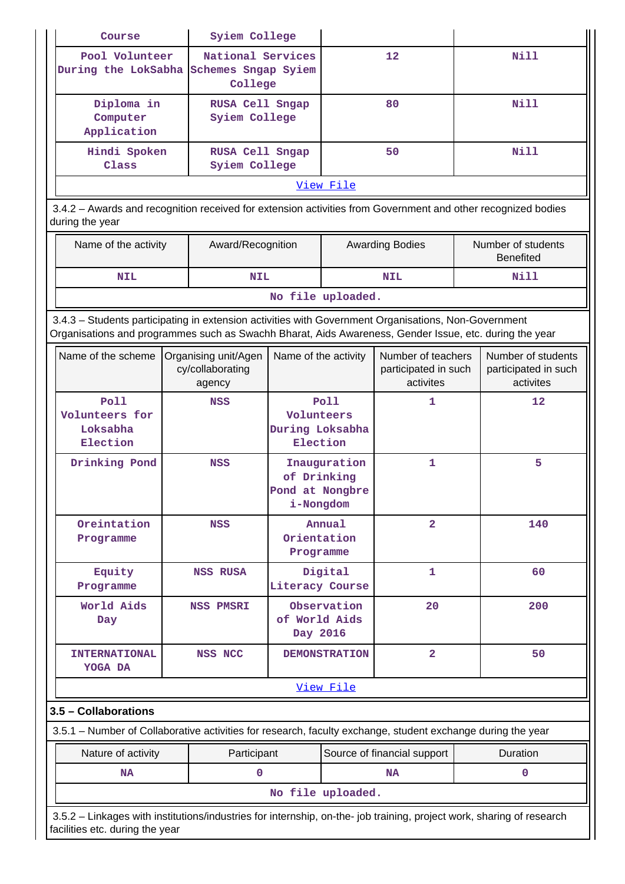| Course                                                                                                                                                                                                         | Syiem College                                      |                                                             |                      |                                                         |  |                                                         |
|----------------------------------------------------------------------------------------------------------------------------------------------------------------------------------------------------------------|----------------------------------------------------|-------------------------------------------------------------|----------------------|---------------------------------------------------------|--|---------------------------------------------------------|
| Pool Volunteer<br>During the LokSabha Schemes Sngap Syiem                                                                                                                                                      | National Services<br>College                       |                                                             |                      | 12                                                      |  | Nill                                                    |
| Diploma in<br>Computer<br>Application                                                                                                                                                                          | RUSA Cell Sngap<br>Syiem College                   |                                                             |                      | 80                                                      |  | <b>Nill</b>                                             |
| Hindi Spoken<br>Class                                                                                                                                                                                          | RUSA Cell Sngap<br>Syiem College                   |                                                             |                      | 50                                                      |  | <b>Nill</b>                                             |
|                                                                                                                                                                                                                |                                                    |                                                             | View File            |                                                         |  |                                                         |
| 3.4.2 - Awards and recognition received for extension activities from Government and other recognized bodies<br>during the year                                                                                |                                                    |                                                             |                      |                                                         |  |                                                         |
| Name of the activity                                                                                                                                                                                           | Award/Recognition                                  |                                                             |                      | <b>Awarding Bodies</b>                                  |  | Number of students<br><b>Benefited</b>                  |
| <b>NIL</b>                                                                                                                                                                                                     | <b>NIL</b>                                         |                                                             |                      | <b>NIL</b>                                              |  | Nill                                                    |
|                                                                                                                                                                                                                |                                                    | No file uploaded.                                           |                      |                                                         |  |                                                         |
| 3.4.3 - Students participating in extension activities with Government Organisations, Non-Government<br>Organisations and programmes such as Swachh Bharat, Aids Awareness, Gender Issue, etc. during the year |                                                    |                                                             |                      |                                                         |  |                                                         |
| Name of the scheme                                                                                                                                                                                             | Organising unit/Agen<br>cy/collaborating<br>agency | Name of the activity                                        |                      | Number of teachers<br>participated in such<br>activites |  | Number of students<br>participated in such<br>activites |
| Poll<br>Volunteers for<br>Loksabha<br>Election                                                                                                                                                                 | <b>NSS</b>                                         | Poll<br>Volunteers<br>During Loksabha<br>Election           |                      | 1                                                       |  | 12                                                      |
| Drinking Pond                                                                                                                                                                                                  | <b>NSS</b>                                         | Inauguration<br>of Drinking<br>Pond at Nongbre<br>i-Nongdom |                      | 1                                                       |  | 5                                                       |
| Oreintation<br>Programme                                                                                                                                                                                       | <b>NSS</b>                                         | Orientation<br>Programme                                    | Annual               | $\overline{2}$                                          |  | 140                                                     |
| Equity<br>Programme                                                                                                                                                                                            | <b>NSS RUSA</b>                                    | Literacy Course                                             | Digital              | 1                                                       |  | 60                                                      |
| World Aids<br>Day                                                                                                                                                                                              | <b>NSS PMSRI</b>                                   | of World Aids<br>Day 2016                                   | Observation          | 20                                                      |  | 200                                                     |
| <b>INTERNATIONAL</b><br>YOGA DA                                                                                                                                                                                | <b>NSS NCC</b>                                     |                                                             | <b>DEMONSTRATION</b> | $\overline{2}$                                          |  | 50                                                      |
|                                                                                                                                                                                                                |                                                    |                                                             | View File            |                                                         |  |                                                         |
| 3.5 - Collaborations<br>3.5.1 – Number of Collaborative activities for research, faculty exchange, student exchange during the year                                                                            |                                                    |                                                             |                      |                                                         |  |                                                         |
| Nature of activity                                                                                                                                                                                             | Participant                                        |                                                             |                      | Source of financial support                             |  | Duration                                                |
| <b>NA</b>                                                                                                                                                                                                      | $\mathbf 0$                                        |                                                             |                      | <b>NA</b>                                               |  | $\mathbf 0$                                             |
|                                                                                                                                                                                                                |                                                    | No file uploaded.                                           |                      |                                                         |  |                                                         |
| 3.5.2 - Linkages with institutions/industries for internship, on-the- job training, project work, sharing of research<br>facilities etc. during the year                                                       |                                                    |                                                             |                      |                                                         |  |                                                         |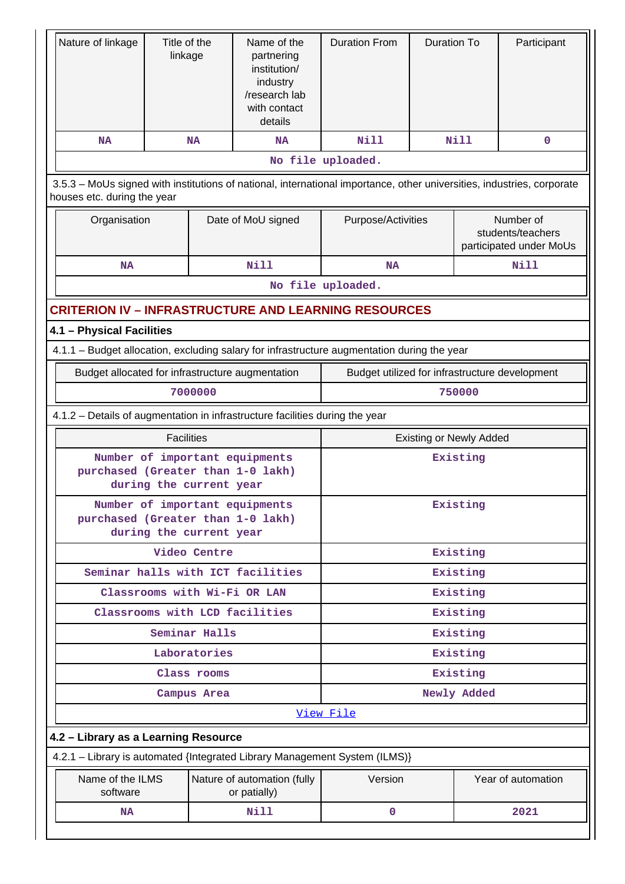| Nature of linkage                                                                                                                                     | Title of the<br>linkage |                         | Name of the<br>partnering<br>institution/<br>industry<br>/research lab<br>with contact<br>details | <b>Duration From</b>                           | <b>Duration To</b><br><b>Nill</b> |             | Participant                                               |  |
|-------------------------------------------------------------------------------------------------------------------------------------------------------|-------------------------|-------------------------|---------------------------------------------------------------------------------------------------|------------------------------------------------|-----------------------------------|-------------|-----------------------------------------------------------|--|
| NA                                                                                                                                                    |                         | <b>NA</b>               | <b>NA</b>                                                                                         | <b>Nill</b>                                    |                                   |             | 0                                                         |  |
|                                                                                                                                                       |                         |                         |                                                                                                   | No file uploaded.                              |                                   |             |                                                           |  |
| 3.5.3 – MoUs signed with institutions of national, international importance, other universities, industries, corporate<br>houses etc. during the year |                         |                         |                                                                                                   |                                                |                                   |             |                                                           |  |
|                                                                                                                                                       | Organisation            |                         | Date of MoU signed                                                                                | Purpose/Activities                             |                                   |             | Number of<br>students/teachers<br>participated under MoUs |  |
| <b>NA</b>                                                                                                                                             |                         |                         | Nill                                                                                              | <b>NA</b>                                      |                                   |             | Nill                                                      |  |
|                                                                                                                                                       |                         |                         |                                                                                                   | No file uploaded.                              |                                   |             |                                                           |  |
| <b>CRITERION IV - INFRASTRUCTURE AND LEARNING RESOURCES</b>                                                                                           |                         |                         |                                                                                                   |                                                |                                   |             |                                                           |  |
| 4.1 - Physical Facilities                                                                                                                             |                         |                         |                                                                                                   |                                                |                                   |             |                                                           |  |
| 4.1.1 - Budget allocation, excluding salary for infrastructure augmentation during the year                                                           |                         |                         |                                                                                                   |                                                |                                   |             |                                                           |  |
| Budget allocated for infrastructure augmentation                                                                                                      |                         |                         |                                                                                                   | Budget utilized for infrastructure development |                                   |             |                                                           |  |
| 7000000                                                                                                                                               |                         |                         |                                                                                                   |                                                |                                   | 750000      |                                                           |  |
| 4.1.2 – Details of augmentation in infrastructure facilities during the year                                                                          |                         |                         |                                                                                                   |                                                |                                   |             |                                                           |  |
|                                                                                                                                                       | <b>Facilities</b>       |                         |                                                                                                   |                                                | <b>Existing or Newly Added</b>    |             |                                                           |  |
| purchased (Greater than 1-0 lakh)                                                                                                                     |                         | during the current year | Number of important equipments                                                                    | Existing                                       |                                   |             |                                                           |  |
| purchased (Greater than 1-0 lakh)                                                                                                                     |                         | during the current year | Number of important equipments                                                                    | Existing                                       |                                   |             |                                                           |  |
|                                                                                                                                                       |                         | Video Centre            |                                                                                                   | Existing                                       |                                   |             |                                                           |  |
|                                                                                                                                                       |                         |                         | Seminar halls with ICT facilities                                                                 |                                                |                                   | Existing    |                                                           |  |
|                                                                                                                                                       |                         |                         | Classrooms with Wi-Fi OR LAN                                                                      |                                                |                                   | Existing    |                                                           |  |
|                                                                                                                                                       |                         |                         | Classrooms with LCD facilities                                                                    |                                                |                                   | Existing    |                                                           |  |
|                                                                                                                                                       |                         | Seminar Halls           |                                                                                                   |                                                |                                   | Existing    |                                                           |  |
|                                                                                                                                                       |                         | Laboratories            |                                                                                                   |                                                |                                   | Existing    |                                                           |  |
|                                                                                                                                                       |                         | Class rooms             |                                                                                                   |                                                |                                   | Existing    |                                                           |  |
|                                                                                                                                                       |                         | Campus Area             |                                                                                                   |                                                |                                   | Newly Added |                                                           |  |
|                                                                                                                                                       |                         |                         |                                                                                                   | View File                                      |                                   |             |                                                           |  |
| 4.2 - Library as a Learning Resource                                                                                                                  |                         |                         |                                                                                                   |                                                |                                   |             |                                                           |  |
| 4.2.1 - Library is automated {Integrated Library Management System (ILMS)}                                                                            |                         |                         |                                                                                                   |                                                |                                   |             |                                                           |  |
| Name of the ILMS<br>software                                                                                                                          |                         |                         | Nature of automation (fully<br>or patially)                                                       | Version                                        |                                   |             | Year of automation                                        |  |
| <b>NA</b>                                                                                                                                             |                         |                         | Nill                                                                                              | 0                                              |                                   |             | 2021                                                      |  |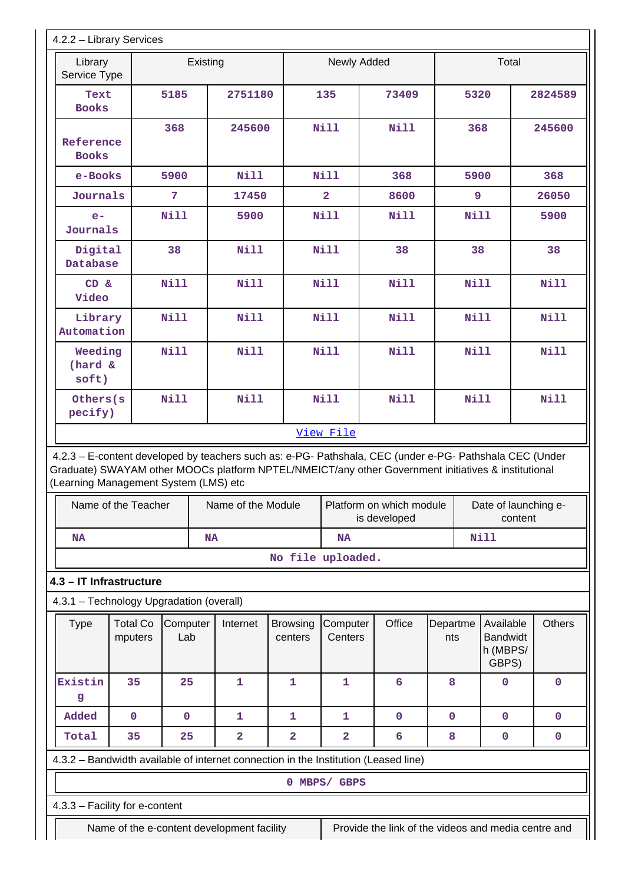| 4.2.2 - Library Services                                                                                                                     |                            |                 |                                            |                            |                         |                                                                                                                                     |                 |                                                   |               |  |
|----------------------------------------------------------------------------------------------------------------------------------------------|----------------------------|-----------------|--------------------------------------------|----------------------------|-------------------------|-------------------------------------------------------------------------------------------------------------------------------------|-----------------|---------------------------------------------------|---------------|--|
| Library<br>Service Type                                                                                                                      |                            | Existing        |                                            |                            | Newly Added             |                                                                                                                                     |                 | Total                                             |               |  |
| Text<br><b>Books</b>                                                                                                                         |                            | 5185            | 2751180                                    |                            | 135                     | 73409                                                                                                                               |                 | 5320                                              | 2824589       |  |
| Reference<br><b>Books</b>                                                                                                                    |                            | 368             | 245600                                     |                            | <b>Nill</b>             | <b>Nill</b>                                                                                                                         | 368             |                                                   | 245600        |  |
| e-Books                                                                                                                                      |                            | 5900            | <b>Nill</b>                                |                            | <b>Nill</b>             | 368                                                                                                                                 | 5900            |                                                   | 368           |  |
| Journals                                                                                                                                     |                            | 7               | 17450                                      |                            | $\overline{\mathbf{2}}$ | 8600                                                                                                                                | 9               |                                                   | 26050         |  |
| $e-$<br>Journals                                                                                                                             |                            | Nill            | 5900                                       |                            | <b>Nill</b>             | <b>Nill</b>                                                                                                                         | <b>Nill</b>     |                                                   | 5900          |  |
| Digital<br>Database                                                                                                                          |                            | 38              | <b>Nill</b>                                |                            | Nill                    | 38                                                                                                                                  | 38              |                                                   | 38            |  |
| CD &<br>Video                                                                                                                                |                            | Nill            | <b>Nill</b>                                |                            | <b>Nill</b>             | <b>Nill</b>                                                                                                                         | <b>Nill</b>     |                                                   | Nill          |  |
| Library<br>Automation                                                                                                                        |                            | Nill            | <b>Nill</b>                                |                            | <b>Nill</b>             | <b>Nill</b>                                                                                                                         | Nill            |                                                   | <b>Nill</b>   |  |
| Weeding<br>(hard &<br>soft)                                                                                                                  |                            | Nill            | <b>Nill</b>                                |                            | <b>Nill</b>             | Nill                                                                                                                                | <b>Nill</b>     |                                                   | Nill          |  |
| Others(s<br>pecify)                                                                                                                          |                            | Nill            | <b>Nill</b>                                |                            | <b>Nill</b>             | <b>Nill</b>                                                                                                                         | <b>Nill</b>     |                                                   | <b>Nill</b>   |  |
| Graduate) SWAYAM other MOOCs platform NPTEL/NMEICT/any other Government initiatives & institutional<br>(Learning Management System (LMS) etc | Name of the Teacher        |                 | Name of the Module                         |                            |                         | 4.2.3 - E-content developed by teachers such as: e-PG- Pathshala, CEC (under e-PG- Pathshala CEC (Under<br>Platform on which module |                 | Date of launching e-                              |               |  |
| NA                                                                                                                                           |                            | NA              |                                            |                            | <b>NA</b>               | is developed                                                                                                                        |                 | content<br><b>Nill</b>                            |               |  |
|                                                                                                                                              |                            |                 |                                            | No file uploaded.          |                         |                                                                                                                                     |                 |                                                   |               |  |
| 4.3 - IT Infrastructure<br>4.3.1 - Technology Upgradation (overall)                                                                          |                            |                 |                                            |                            |                         |                                                                                                                                     |                 |                                                   |               |  |
| <b>Type</b>                                                                                                                                  | <b>Total Co</b><br>mputers | Computer<br>Lab | Internet                                   | <b>Browsing</b><br>centers | Computer<br>Centers     | Office                                                                                                                              | Departme<br>nts | Available<br><b>Bandwidt</b><br>h (MBPS/<br>GBPS) | <b>Others</b> |  |
| Existin<br>g                                                                                                                                 | 35                         | 25              | 1                                          | $\mathbf{1}$               | 1                       | 6                                                                                                                                   | 8               | 0                                                 | 0             |  |
| Added                                                                                                                                        | $\pmb{0}$                  | $\mathbf 0$     | 1                                          | 1                          | $\mathbf{1}$            | $\mathbf 0$                                                                                                                         | $\mathbf 0$     | $\mathbf 0$                                       | 0             |  |
| Total                                                                                                                                        | 35                         | 25              | 2                                          | 2                          | $\overline{\mathbf{2}}$ | 6                                                                                                                                   | 8               | 0                                                 | 0             |  |
| 4.3.2 - Bandwidth available of internet connection in the Institution (Leased line)                                                          |                            |                 |                                            |                            |                         |                                                                                                                                     |                 |                                                   |               |  |
|                                                                                                                                              |                            |                 |                                            |                            | 0 MBPS/ GBPS            |                                                                                                                                     |                 |                                                   |               |  |
| 4.3.3 - Facility for e-content                                                                                                               |                            |                 |                                            |                            |                         |                                                                                                                                     |                 |                                                   |               |  |
|                                                                                                                                              |                            |                 | Name of the e-content development facility |                            |                         | Provide the link of the videos and media centre and                                                                                 |                 |                                                   |               |  |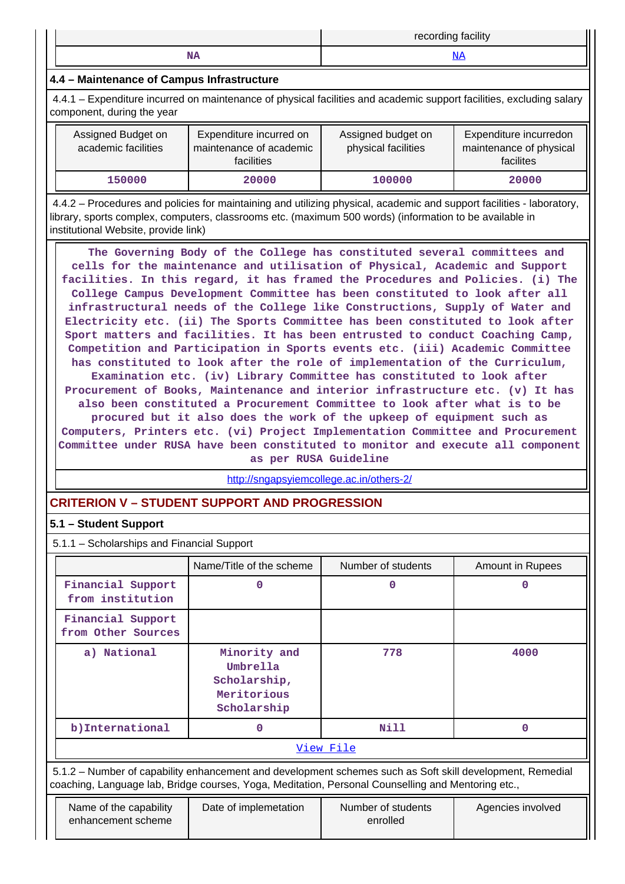|              | <br>$\cdots$<br>record<br>.<br>tacility<br>. 111 10 |
|--------------|-----------------------------------------------------|
| <b>ANATA</b> |                                                     |

# **4.4 – Maintenance of Campus Infrastructure**

 4.4.1 – Expenditure incurred on maintenance of physical facilities and academic support facilities, excluding salary component, during the year

| Assigned Budget on<br>academic facilities | Expenditure incurred on<br>maintenance of academic<br>facilities | Assigned budget on<br>physical facilities | Expenditure incurredon<br>maintenance of physical<br>facilites |
|-------------------------------------------|------------------------------------------------------------------|-------------------------------------------|----------------------------------------------------------------|
| 150000                                    | 20000                                                            | 100000                                    | 20000                                                          |

 4.4.2 – Procedures and policies for maintaining and utilizing physical, academic and support facilities - laboratory, library, sports complex, computers, classrooms etc. (maximum 500 words) (information to be available in institutional Website, provide link)

 **The Governing Body of the College has constituted several committees and cells for the maintenance and utilisation of Physical, Academic and Support facilities. In this regard, it has framed the Procedures and Policies. (i) The College Campus Development Committee has been constituted to look after all infrastructural needs of the College like Constructions, Supply of Water and Electricity etc. (ii) The Sports Committee has been constituted to look after Sport matters and facilities. It has been entrusted to conduct Coaching Camp, Competition and Participation in Sports events etc. (iii) Academic Committee has constituted to look after the role of implementation of the Curriculum, Examination etc. (iv) Library Committee has constituted to look after Procurement of Books, Maintenance and interior infrastructure etc. (v) It has also been constituted a Procurement Committee to look after what is to be procured but it also does the work of the upkeep of equipment such as Computers, Printers etc. (vi) Project Implementation Committee and Procurement Committee under RUSA have been constituted to monitor and execute all component**

**as per RUSA Guideline**

<http://sngapsyiemcollege.ac.in/others-2/>

# **CRITERION V – STUDENT SUPPORT AND PROGRESSION**

# **5.1 – Student Support**

5.1.1 – Scholarships and Financial Support

|                                              | Name/Title of the scheme                                                                                                                                                                                        | Number of students             | Amount in Rupees  |  |  |  |  |  |  |  |  |
|----------------------------------------------|-----------------------------------------------------------------------------------------------------------------------------------------------------------------------------------------------------------------|--------------------------------|-------------------|--|--|--|--|--|--|--|--|
| Financial Support<br>from institution        | 0                                                                                                                                                                                                               | O                              | n                 |  |  |  |  |  |  |  |  |
| Financial Support<br>from Other Sources      |                                                                                                                                                                                                                 |                                |                   |  |  |  |  |  |  |  |  |
| a) National                                  | Minority and<br>Umbrella<br>Scholarship,<br>Meritorious<br>Scholarship                                                                                                                                          | 778                            | 4000              |  |  |  |  |  |  |  |  |
| b) International                             | n                                                                                                                                                                                                               | Nill                           | O                 |  |  |  |  |  |  |  |  |
|                                              |                                                                                                                                                                                                                 | View File                      |                   |  |  |  |  |  |  |  |  |
|                                              | 5.1.2 – Number of capability enhancement and development schemes such as Soft skill development, Remedial<br>coaching, Language lab, Bridge courses, Yoga, Meditation, Personal Counselling and Mentoring etc., |                                |                   |  |  |  |  |  |  |  |  |
| Name of the capability<br>enhancement scheme | Date of implemetation                                                                                                                                                                                           | Number of students<br>enrolled | Agencies involved |  |  |  |  |  |  |  |  |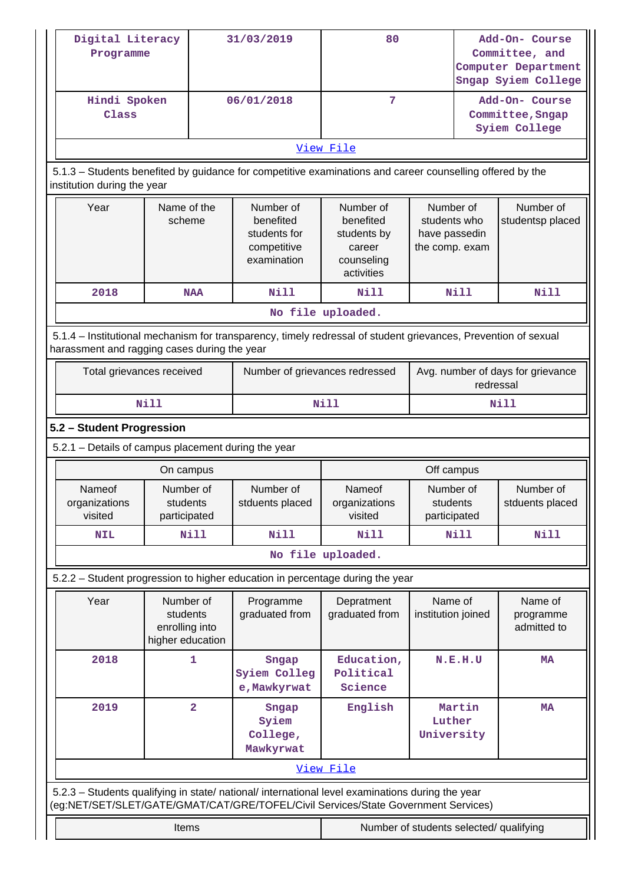|                                                                                                                                                                                        | Digital Literacy<br>Programme<br>Hindi Spoken               |                | 31/03/2019                                                           | 80                                                                          |                                                              | Add-On- Course<br>Committee, and<br>Computer Department<br>Sngap Syiem College |                                                     |  |
|----------------------------------------------------------------------------------------------------------------------------------------------------------------------------------------|-------------------------------------------------------------|----------------|----------------------------------------------------------------------|-----------------------------------------------------------------------------|--------------------------------------------------------------|--------------------------------------------------------------------------------|-----------------------------------------------------|--|
| Class                                                                                                                                                                                  |                                                             |                | 06/01/2018                                                           | 7                                                                           |                                                              |                                                                                | Add-On- Course<br>Committee, Sngap<br>Syiem College |  |
|                                                                                                                                                                                        |                                                             |                |                                                                      | View File                                                                   |                                                              |                                                                                |                                                     |  |
| 5.1.3 - Students benefited by guidance for competitive examinations and career counselling offered by the<br>institution during the year                                               |                                                             |                |                                                                      |                                                                             |                                                              |                                                                                |                                                     |  |
| Year                                                                                                                                                                                   | Name of the<br>scheme                                       |                | Number of<br>benefited<br>students for<br>competitive<br>examination | Number of<br>benefited<br>students by<br>career<br>counseling<br>activities | Number of<br>students who<br>have passedin<br>the comp. exam |                                                                                | Number of<br>studentsp placed                       |  |
| 2018                                                                                                                                                                                   |                                                             | <b>NAA</b>     | <b>Nill</b>                                                          | Nill                                                                        | <b>Nill</b>                                                  |                                                                                | <b>Nill</b>                                         |  |
|                                                                                                                                                                                        |                                                             |                |                                                                      | No file uploaded.                                                           |                                                              |                                                                                |                                                     |  |
| 5.1.4 – Institutional mechanism for transparency, timely redressal of student grievances, Prevention of sexual<br>harassment and ragging cases during the year                         |                                                             |                |                                                                      |                                                                             |                                                              |                                                                                |                                                     |  |
| Total grievances received                                                                                                                                                              |                                                             |                | Number of grievances redressed                                       |                                                                             |                                                              | Avg. number of days for grievance<br>redressal                                 |                                                     |  |
|                                                                                                                                                                                        | <b>Nill</b>                                                 |                |                                                                      | <b>Nill</b>                                                                 |                                                              |                                                                                | <b>Nill</b>                                         |  |
| 5.2 - Student Progression                                                                                                                                                              |                                                             |                |                                                                      |                                                                             |                                                              |                                                                                |                                                     |  |
| 5.2.1 - Details of campus placement during the year                                                                                                                                    |                                                             |                |                                                                      |                                                                             |                                                              |                                                                                |                                                     |  |
|                                                                                                                                                                                        | On campus                                                   |                |                                                                      |                                                                             | Off campus                                                   |                                                                                |                                                     |  |
| Nameof<br>organizations<br>visited                                                                                                                                                     | Number of<br>students<br>participated                       |                | Number of<br>stduents placed                                         | Nameof<br>organizations<br>visited                                          | Number of<br>students<br>participated                        |                                                                                | Number of<br>stduents placed                        |  |
| <b>NIL</b>                                                                                                                                                                             |                                                             | Nill           | Nill                                                                 | Nill                                                                        | Nill                                                         |                                                                                | <b>Nill</b>                                         |  |
|                                                                                                                                                                                        |                                                             |                |                                                                      | No file uploaded.                                                           |                                                              |                                                                                |                                                     |  |
| 5.2.2 - Student progression to higher education in percentage during the year                                                                                                          |                                                             |                |                                                                      |                                                                             |                                                              |                                                                                |                                                     |  |
| Year                                                                                                                                                                                   | Number of<br>students<br>enrolling into<br>higher education |                | Programme<br>graduated from                                          | Depratment<br>graduated from                                                | Name of<br>institution joined                                |                                                                                | Name of<br>programme<br>admitted to                 |  |
| 2018                                                                                                                                                                                   |                                                             | 1              | Sngap<br>Syiem Colleg<br>e, Mawkyrwat                                | Education,<br>Political<br>Science                                          | N.E.H.U                                                      |                                                                                | <b>MA</b>                                           |  |
| 2019                                                                                                                                                                                   |                                                             | $\overline{2}$ | Sngap<br>Syiem<br>College,                                           | English                                                                     | Martin<br>Luther<br>University                               |                                                                                | <b>MA</b>                                           |  |
|                                                                                                                                                                                        |                                                             |                | Mawkyrwat                                                            |                                                                             |                                                              |                                                                                |                                                     |  |
|                                                                                                                                                                                        |                                                             |                |                                                                      | View File                                                                   |                                                              |                                                                                |                                                     |  |
| 5.2.3 - Students qualifying in state/ national/ international level examinations during the year<br>(eg:NET/SET/SLET/GATE/GMAT/CAT/GRE/TOFEL/Civil Services/State Government Services) |                                                             |                |                                                                      |                                                                             |                                                              |                                                                                |                                                     |  |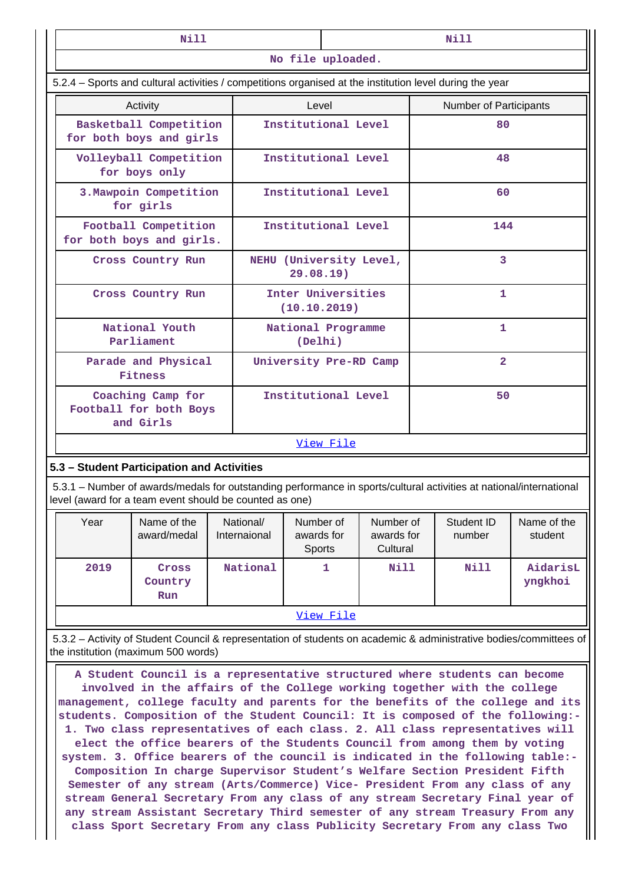|      | Nill                                                                                                                                                                                                                                                                                                                         |                               |                      | Nill                               |                                     |                               |                      |                        |  |
|------|------------------------------------------------------------------------------------------------------------------------------------------------------------------------------------------------------------------------------------------------------------------------------------------------------------------------------|-------------------------------|----------------------|------------------------------------|-------------------------------------|-------------------------------|----------------------|------------------------|--|
|      |                                                                                                                                                                                                                                                                                                                              |                               |                      | No file uploaded.                  |                                     |                               |                      |                        |  |
|      | 5.2.4 – Sports and cultural activities / competitions organised at the institution level during the year                                                                                                                                                                                                                     |                               |                      |                                    |                                     |                               |                      |                        |  |
|      | Activity                                                                                                                                                                                                                                                                                                                     |                               | Level                |                                    |                                     | <b>Number of Participants</b> |                      |                        |  |
|      | Basketball Competition<br>for both boys and girls                                                                                                                                                                                                                                                                            |                               |                      | Institutional Level                |                                     |                               | 80                   |                        |  |
|      | Volleyball Competition<br>for boys only                                                                                                                                                                                                                                                                                      |                               |                      | Institutional Level                |                                     |                               | 48                   |                        |  |
|      | 3. Mawpoin Competition<br>for girls                                                                                                                                                                                                                                                                                          |                               |                      | Institutional Level                |                                     |                               | 60                   |                        |  |
|      | Football Competition<br>for both boys and girls.                                                                                                                                                                                                                                                                             |                               |                      | Institutional Level                |                                     |                               | 144                  |                        |  |
|      | Cross Country Run                                                                                                                                                                                                                                                                                                            |                               | 29.08.19)            |                                    | NEHU (University Level,             |                               | $\overline{3}$       |                        |  |
|      | Cross Country Run                                                                                                                                                                                                                                                                                                            |                               |                      | Inter Universities<br>(10.10.2019) |                                     | 1                             |                      |                        |  |
|      | National Youth<br>Parliament                                                                                                                                                                                                                                                                                                 | National Programme<br>(Delhi) |                      |                                    |                                     | 1                             |                      |                        |  |
|      | Parade and Physical<br>Fitness                                                                                                                                                                                                                                                                                               | University Pre-RD Camp        |                      |                                    |                                     | $\overline{2}$                |                      |                        |  |
|      | Coaching Camp for<br>Football for both Boys<br>and Girls                                                                                                                                                                                                                                                                     | Institutional Level           |                      |                                    | 50                                  |                               |                      |                        |  |
|      |                                                                                                                                                                                                                                                                                                                              |                               |                      | View File                          |                                     |                               |                      |                        |  |
|      | 5.3 - Student Participation and Activities                                                                                                                                                                                                                                                                                   |                               |                      |                                    |                                     |                               |                      |                        |  |
|      | 5.3.1 – Number of awards/medals for outstanding performance in sports/cultural activities at national/international<br>level (award for a team event should be counted as one)                                                                                                                                               |                               |                      |                                    |                                     |                               |                      |                        |  |
| Year | Name of the<br>award/medal                                                                                                                                                                                                                                                                                                   | National/<br>Internaional     | awards for<br>Sports | Number of                          | Number of<br>awards for<br>Cultural |                               | Student ID<br>number | Name of the<br>student |  |
| 2019 | Cross<br>Country<br>Run                                                                                                                                                                                                                                                                                                      | National                      |                      | 1                                  | Nill                                |                               | Nill                 | AidarisL<br>yngkhoi    |  |
|      |                                                                                                                                                                                                                                                                                                                              |                               |                      | View File                          |                                     |                               |                      |                        |  |
|      | 5.3.2 – Activity of Student Council & representation of students on academic & administrative bodies/committees of<br>the institution (maximum 500 words)                                                                                                                                                                    |                               |                      |                                    |                                     |                               |                      |                        |  |
|      | A Student Council is a representative structured where students can become<br>involved in the affairs of the College working together with the college<br>management, college faculty and parents for the benefits of the college and its<br>students. Composition of the Student Council: It is composed of the following:- |                               |                      |                                    |                                     |                               |                      |                        |  |

**1. Two class representatives of each class. 2. All class representatives will elect the office bearers of the Students Council from among them by voting system. 3. Office bearers of the council is indicated in the following table:- Composition In charge Supervisor Student's Welfare Section President Fifth Semester of any stream (Arts/Commerce) Vice- President From any class of any stream General Secretary From any class of any stream Secretary Final year of any stream Assistant Secretary Third semester of any stream Treasury From any class Sport Secretary From any class Publicity Secretary From any class Two**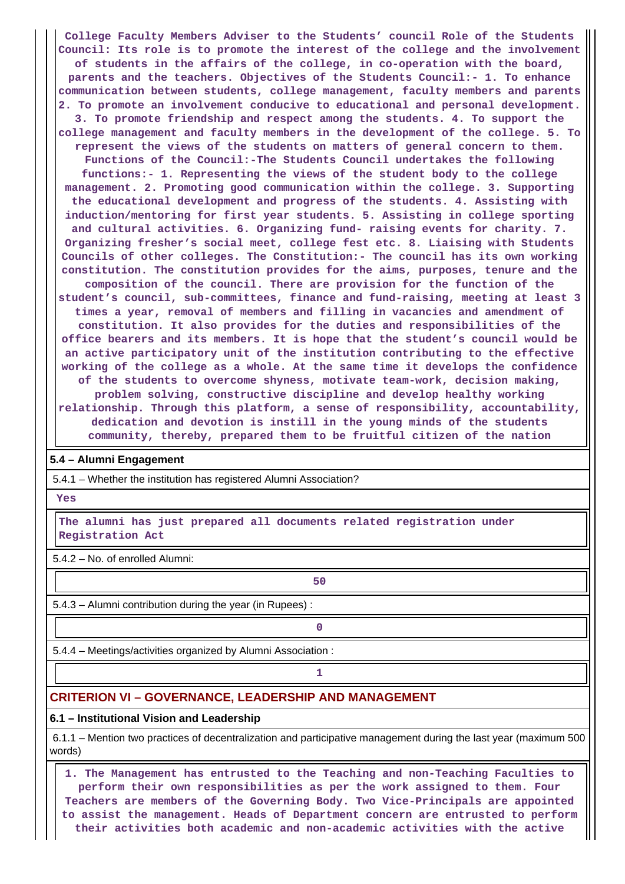**College Faculty Members Adviser to the Students' council Role of the Students Council: Its role is to promote the interest of the college and the involvement of students in the affairs of the college, in co-operation with the board, parents and the teachers. Objectives of the Students Council:- 1. To enhance communication between students, college management, faculty members and parents 2. To promote an involvement conducive to educational and personal development. 3. To promote friendship and respect among the students. 4. To support the college management and faculty members in the development of the college. 5. To represent the views of the students on matters of general concern to them. Functions of the Council:-The Students Council undertakes the following functions:- 1. Representing the views of the student body to the college management. 2. Promoting good communication within the college. 3. Supporting the educational development and progress of the students. 4. Assisting with induction/mentoring for first year students. 5. Assisting in college sporting and cultural activities. 6. Organizing fund- raising events for charity. 7. Organizing fresher's social meet, college fest etc. 8. Liaising with Students Councils of other colleges. The Constitution:- The council has its own working constitution. The constitution provides for the aims, purposes, tenure and the composition of the council. There are provision for the function of the student's council, sub-committees, finance and fund-raising, meeting at least 3 times a year, removal of members and filling in vacancies and amendment of constitution. It also provides for the duties and responsibilities of the office bearers and its members. It is hope that the student's council would be an active participatory unit of the institution contributing to the effective working of the college as a whole. At the same time it develops the confidence of the students to overcome shyness, motivate team-work, decision making, problem solving, constructive discipline and develop healthy working relationship. Through this platform, a sense of responsibility, accountability, dedication and devotion is instill in the young minds of the students community, thereby, prepared them to be fruitful citizen of the nation**

### **5.4 – Alumni Engagement**

5.4.1 – Whether the institution has registered Alumni Association?

 **Yes**

 **The alumni has just prepared all documents related registration under Registration Act**

5.4.2 – No. of enrolled Alumni:

5.4.3 – Alumni contribution during the year (in Rupees) :

**50** 

**0**

5.4.4 – Meetings/activities organized by Alumni Association :

**1 1** 

# **CRITERION VI – GOVERNANCE, LEADERSHIP AND MANAGEMENT**

#### **6.1 – Institutional Vision and Leadership**

 6.1.1 – Mention two practices of decentralization and participative management during the last year (maximum 500 words)

 **1. The Management has entrusted to the Teaching and non-Teaching Faculties to perform their own responsibilities as per the work assigned to them. Four Teachers are members of the Governing Body. Two Vice-Principals are appointed to assist the management. Heads of Department concern are entrusted to perform their activities both academic and non-academic activities with the active**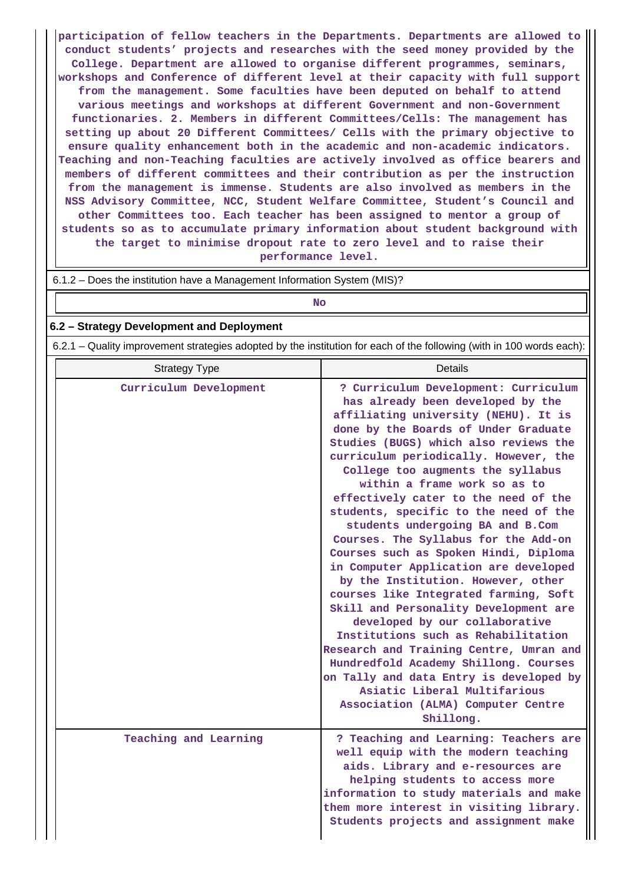**participation of fellow teachers in the Departments. Departments are allowed to conduct students' projects and researches with the seed money provided by the College. Department are allowed to organise different programmes, seminars, workshops and Conference of different level at their capacity with full support from the management. Some faculties have been deputed on behalf to attend various meetings and workshops at different Government and non-Government functionaries. 2. Members in different Committees/Cells: The management has setting up about 20 Different Committees/ Cells with the primary objective to ensure quality enhancement both in the academic and non-academic indicators. Teaching and non-Teaching faculties are actively involved as office bearers and members of different committees and their contribution as per the instruction from the management is immense. Students are also involved as members in the NSS Advisory Committee, NCC, Student Welfare Committee, Student's Council and other Committees too. Each teacher has been assigned to mentor a group of students so as to accumulate primary information about student background with the target to minimise dropout rate to zero level and to raise their performance level.**

6.1.2 – Does the institution have a Management Information System (MIS)?

| No                                                                                                                    |                                                                                                                                                                                                                                                                                                                                                                                                                                                                                                                                                                                                                                                                                                                                                                                                                                                                                                                                                                                    |  |  |  |  |  |  |
|-----------------------------------------------------------------------------------------------------------------------|------------------------------------------------------------------------------------------------------------------------------------------------------------------------------------------------------------------------------------------------------------------------------------------------------------------------------------------------------------------------------------------------------------------------------------------------------------------------------------------------------------------------------------------------------------------------------------------------------------------------------------------------------------------------------------------------------------------------------------------------------------------------------------------------------------------------------------------------------------------------------------------------------------------------------------------------------------------------------------|--|--|--|--|--|--|
| 6.2 - Strategy Development and Deployment                                                                             |                                                                                                                                                                                                                                                                                                                                                                                                                                                                                                                                                                                                                                                                                                                                                                                                                                                                                                                                                                                    |  |  |  |  |  |  |
| 6.2.1 – Quality improvement strategies adopted by the institution for each of the following (with in 100 words each): |                                                                                                                                                                                                                                                                                                                                                                                                                                                                                                                                                                                                                                                                                                                                                                                                                                                                                                                                                                                    |  |  |  |  |  |  |
| <b>Strategy Type</b>                                                                                                  | Details                                                                                                                                                                                                                                                                                                                                                                                                                                                                                                                                                                                                                                                                                                                                                                                                                                                                                                                                                                            |  |  |  |  |  |  |
| Curriculum Development                                                                                                | ? Curriculum Development: Curriculum<br>has already been developed by the<br>affiliating university (NEHU). It is<br>done by the Boards of Under Graduate<br>Studies (BUGS) which also reviews the<br>curriculum periodically. However, the<br>College too augments the syllabus<br>within a frame work so as to<br>effectively cater to the need of the<br>students, specific to the need of the<br>students undergoing BA and B.Com<br>Courses. The Syllabus for the Add-on<br>Courses such as Spoken Hindi, Diploma<br>in Computer Application are developed<br>by the Institution. However, other<br>courses like Integrated farming, Soft<br>Skill and Personality Development are<br>developed by our collaborative<br>Institutions such as Rehabilitation<br>Research and Training Centre, Umran and<br>Hundredfold Academy Shillong. Courses<br>on Tally and data Entry is developed by<br>Asiatic Liberal Multifarious<br>Association (ALMA) Computer Centre<br>Shillong. |  |  |  |  |  |  |
| Teaching and Learning                                                                                                 | ? Teaching and Learning: Teachers are<br>well equip with the modern teaching<br>aids. Library and e-resources are<br>helping students to access more<br>information to study materials and make<br>them more interest in visiting library.                                                                                                                                                                                                                                                                                                                                                                                                                                                                                                                                                                                                                                                                                                                                         |  |  |  |  |  |  |

**Students projects and assignment make**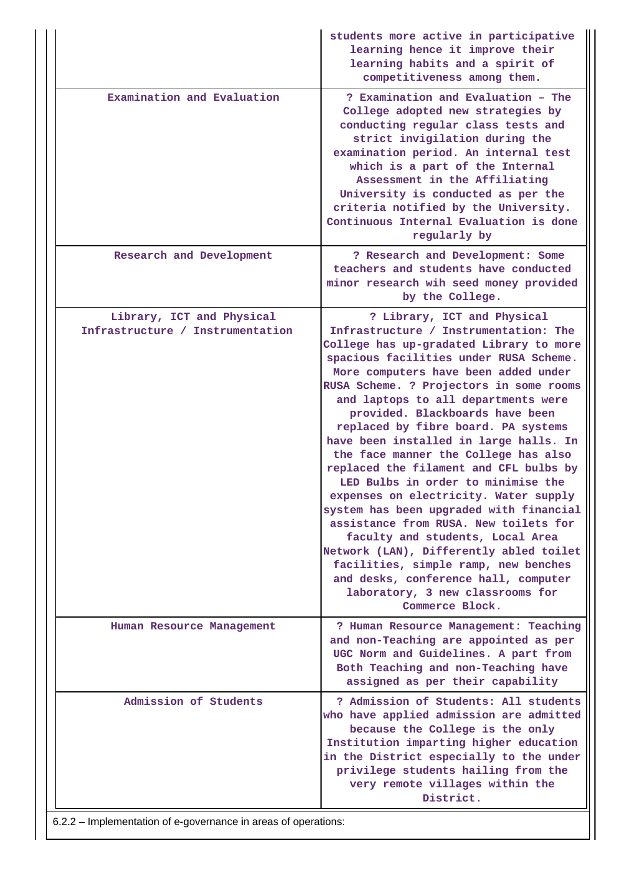|                                                                | students more active in participative<br>learning hence it improve their<br>learning habits and a spirit of<br>competitiveness among them.                                                                                                                                                                                                                                                                                                                                                                                                                                                                                                                                                                                                                                                                                                                                         |
|----------------------------------------------------------------|------------------------------------------------------------------------------------------------------------------------------------------------------------------------------------------------------------------------------------------------------------------------------------------------------------------------------------------------------------------------------------------------------------------------------------------------------------------------------------------------------------------------------------------------------------------------------------------------------------------------------------------------------------------------------------------------------------------------------------------------------------------------------------------------------------------------------------------------------------------------------------|
| Examination and Evaluation                                     | ? Examination and Evaluation - The<br>College adopted new strategies by<br>conducting regular class tests and<br>strict invigilation during the<br>examination period. An internal test<br>which is a part of the Internal<br>Assessment in the Affiliating<br>University is conducted as per the<br>criteria notified by the University.<br>Continuous Internal Evaluation is done<br>regularly by                                                                                                                                                                                                                                                                                                                                                                                                                                                                                |
| Research and Development                                       | ? Research and Development: Some<br>teachers and students have conducted<br>minor research wih seed money provided<br>by the College.                                                                                                                                                                                                                                                                                                                                                                                                                                                                                                                                                                                                                                                                                                                                              |
| Library, ICT and Physical<br>Infrastructure / Instrumentation  | ? Library, ICT and Physical<br>Infrastructure / Instrumentation: The<br>College has up-gradated Library to more<br>spacious facilities under RUSA Scheme.<br>More computers have been added under<br>RUSA Scheme. ? Projectors in some rooms<br>and laptops to all departments were<br>provided. Blackboards have been<br>replaced by fibre board. PA systems<br>have been installed in large halls. In<br>the face manner the College has also<br>replaced the filament and CFL bulbs by<br>LED Bulbs in order to minimise the<br>expenses on electricity. Water supply<br>system has been upgraded with financial<br>assistance from RUSA. New toilets for<br>faculty and students, Local Area<br>Network (LAN), Differently abled toilet<br>facilities, simple ramp, new benches<br>and desks, conference hall, computer<br>laboratory, 3 new classrooms for<br>Commerce Block. |
| Human Resource Management                                      | ? Human Resource Management: Teaching<br>and non-Teaching are appointed as per<br>UGC Norm and Guidelines. A part from<br>Both Teaching and non-Teaching have<br>assigned as per their capability                                                                                                                                                                                                                                                                                                                                                                                                                                                                                                                                                                                                                                                                                  |
| Admission of Students                                          | ? Admission of Students: All students<br>who have applied admission are admitted<br>because the College is the only<br>Institution imparting higher education<br>in the District especially to the under<br>privilege students hailing from the<br>very remote villages within the<br>District.                                                                                                                                                                                                                                                                                                                                                                                                                                                                                                                                                                                    |
| 6.2.2 – Implementation of e-governance in areas of operations: |                                                                                                                                                                                                                                                                                                                                                                                                                                                                                                                                                                                                                                                                                                                                                                                                                                                                                    |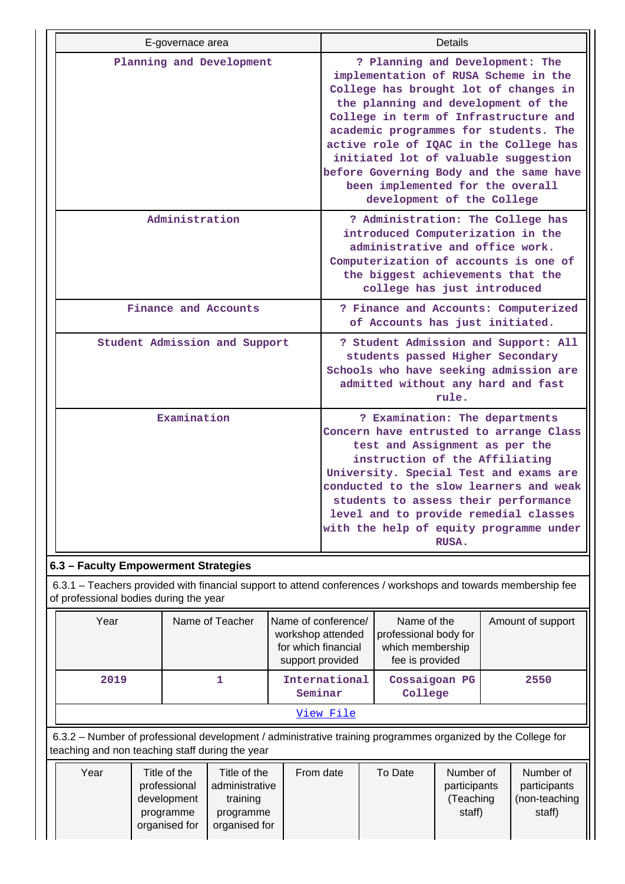| E-governace area                     | Details                                                                                                                                                                                                                                                                                                                                                                                                                                  |
|--------------------------------------|------------------------------------------------------------------------------------------------------------------------------------------------------------------------------------------------------------------------------------------------------------------------------------------------------------------------------------------------------------------------------------------------------------------------------------------|
| Planning and Development             | ? Planning and Development: The<br>implementation of RUSA Scheme in the<br>College has brought lot of changes in<br>the planning and development of the<br>College in term of Infrastructure and<br>academic programmes for students. The<br>active role of IQAC in the College has<br>initiated lot of valuable suggestion<br>before Governing Body and the same have<br>been implemented for the overall<br>development of the College |
| Administration                       | ? Administration: The College has<br>introduced Computerization in the<br>administrative and office work.<br>Computerization of accounts is one of<br>the biggest achievements that the<br>college has just introduced                                                                                                                                                                                                                   |
| Finance and Accounts                 | ? Finance and Accounts: Computerized<br>of Accounts has just initiated.                                                                                                                                                                                                                                                                                                                                                                  |
| Student Admission and Support        | ? Student Admission and Support: All<br>students passed Higher Secondary<br>Schools who have seeking admission are<br>admitted without any hard and fast<br>rule.                                                                                                                                                                                                                                                                        |
| Examination                          | ? Examination: The departments<br>Concern have entrusted to arrange Class<br>test and Assignment as per the<br>instruction of the Affiliating<br>University. Special Test and exams are<br>conducted to the slow learners and weak<br>students to assess their performance<br>level and to provide remedial classes<br>with the help of equity programme under<br>RUSA.                                                                  |
| 6.3 - Faculty Empowerment Strategies |                                                                                                                                                                                                                                                                                                                                                                                                                                          |

 6.3.1 – Teachers provided with financial support to attend conferences / workshops and towards membership fee of professional bodies during the year

| Year                                                                                                                                                            | Name of Teacher | Name of conference/<br>workshop attended<br>for which financial<br>support provided | Name of the<br>professional body for<br>which membership<br>fee is provided | Amount of support |  |  |  |  |  |
|-----------------------------------------------------------------------------------------------------------------------------------------------------------------|-----------------|-------------------------------------------------------------------------------------|-----------------------------------------------------------------------------|-------------------|--|--|--|--|--|
| 2019                                                                                                                                                            |                 | International<br>Seminar                                                            | Cossaigoan PG<br>College                                                    | 2550              |  |  |  |  |  |
|                                                                                                                                                                 | View File       |                                                                                     |                                                                             |                   |  |  |  |  |  |
| 6.3.2 – Number of professional development / administrative training programmes organized by the College for<br>teaching and non teaching staff during the year |                 |                                                                                     |                                                                             |                   |  |  |  |  |  |

| Year<br>Title of the<br>Title of the<br>administrative<br>professional<br>training<br>development<br>programme<br>programme<br>organised for<br>organised for | From date | To Date | Number of<br>participants<br>'Teaching<br>staff) | Number of<br>participants<br>(non-teaching<br>staff) |
|---------------------------------------------------------------------------------------------------------------------------------------------------------------|-----------|---------|--------------------------------------------------|------------------------------------------------------|
|---------------------------------------------------------------------------------------------------------------------------------------------------------------|-----------|---------|--------------------------------------------------|------------------------------------------------------|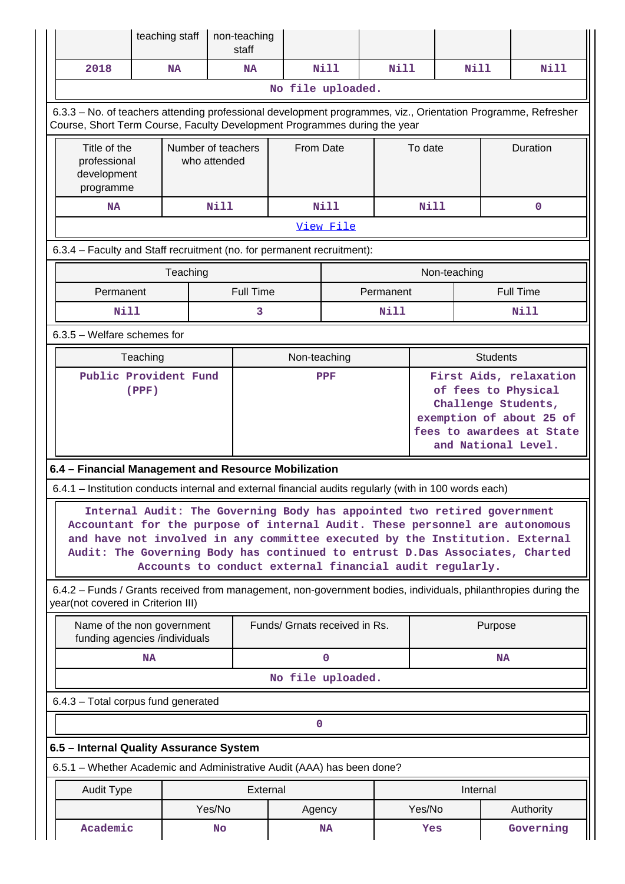|                                                                                                                                                                                            | teaching staff                                                                                                                                                                                                                                                                                                                                                                                                                                                                               |                                    | non-teaching<br>staff |                               |           |             |                                                                                                                                                      |              |                 |                  |
|--------------------------------------------------------------------------------------------------------------------------------------------------------------------------------------------|----------------------------------------------------------------------------------------------------------------------------------------------------------------------------------------------------------------------------------------------------------------------------------------------------------------------------------------------------------------------------------------------------------------------------------------------------------------------------------------------|------------------------------------|-----------------------|-------------------------------|-----------|-------------|------------------------------------------------------------------------------------------------------------------------------------------------------|--------------|-----------------|------------------|
| 2018                                                                                                                                                                                       | <b>NA</b>                                                                                                                                                                                                                                                                                                                                                                                                                                                                                    |                                    | NA                    |                               | Nill      | Nill        |                                                                                                                                                      | Nill         |                 | Nill             |
| No file uploaded.                                                                                                                                                                          |                                                                                                                                                                                                                                                                                                                                                                                                                                                                                              |                                    |                       |                               |           |             |                                                                                                                                                      |              |                 |                  |
| 6.3.3 - No. of teachers attending professional development programmes, viz., Orientation Programme, Refresher<br>Course, Short Term Course, Faculty Development Programmes during the year |                                                                                                                                                                                                                                                                                                                                                                                                                                                                                              |                                    |                       |                               |           |             |                                                                                                                                                      |              |                 |                  |
| Title of the<br>professional<br>development<br>programme                                                                                                                                   |                                                                                                                                                                                                                                                                                                                                                                                                                                                                                              | Number of teachers<br>who attended |                       | From Date                     |           |             | To date                                                                                                                                              |              | Duration        |                  |
| <b>NA</b>                                                                                                                                                                                  | <b>Nill</b>                                                                                                                                                                                                                                                                                                                                                                                                                                                                                  |                                    |                       | Nill                          |           | <b>Nill</b> |                                                                                                                                                      |              | $\mathbf 0$     |                  |
|                                                                                                                                                                                            |                                                                                                                                                                                                                                                                                                                                                                                                                                                                                              |                                    |                       | View File                     |           |             |                                                                                                                                                      |              |                 |                  |
| 6.3.4 - Faculty and Staff recruitment (no. for permanent recruitment):                                                                                                                     |                                                                                                                                                                                                                                                                                                                                                                                                                                                                                              |                                    |                       |                               |           |             |                                                                                                                                                      |              |                 |                  |
|                                                                                                                                                                                            |                                                                                                                                                                                                                                                                                                                                                                                                                                                                                              | Teaching                           |                       |                               |           |             |                                                                                                                                                      | Non-teaching |                 |                  |
| Permanent                                                                                                                                                                                  |                                                                                                                                                                                                                                                                                                                                                                                                                                                                                              |                                    | <b>Full Time</b>      |                               |           | Permanent   |                                                                                                                                                      |              |                 | <b>Full Time</b> |
| Nill                                                                                                                                                                                       |                                                                                                                                                                                                                                                                                                                                                                                                                                                                                              |                                    | 3                     |                               |           | Nill        |                                                                                                                                                      |              |                 | <b>Nill</b>      |
| 6.3.5 - Welfare schemes for                                                                                                                                                                |                                                                                                                                                                                                                                                                                                                                                                                                                                                                                              |                                    |                       |                               |           |             |                                                                                                                                                      |              |                 |                  |
|                                                                                                                                                                                            | Teaching                                                                                                                                                                                                                                                                                                                                                                                                                                                                                     |                                    |                       | Non-teaching                  |           |             |                                                                                                                                                      |              | <b>Students</b> |                  |
| Public Provident Fund<br>(PPF)                                                                                                                                                             |                                                                                                                                                                                                                                                                                                                                                                                                                                                                                              |                                    |                       | <b>PPF</b>                    |           |             | First Aids, relaxation<br>of fees to Physical<br>Challenge Students,<br>exemption of about 25 of<br>fees to awardees at State<br>and National Level. |              |                 |                  |
| 6.4 - Financial Management and Resource Mobilization                                                                                                                                       |                                                                                                                                                                                                                                                                                                                                                                                                                                                                                              |                                    |                       |                               |           |             |                                                                                                                                                      |              |                 |                  |
|                                                                                                                                                                                            |                                                                                                                                                                                                                                                                                                                                                                                                                                                                                              |                                    |                       |                               |           |             |                                                                                                                                                      |              |                 |                  |
|                                                                                                                                                                                            | 6.4.1 - Institution conducts internal and external financial audits regularly (with in 100 words each)<br>Internal Audit: The Governing Body has appointed two retired government<br>Accountant for the purpose of internal Audit. These personnel are autonomous<br>and have not involved in any committee executed by the Institution. External<br>Audit: The Governing Body has continued to entrust D.Das Associates, Charted<br>Accounts to conduct external financial audit regularly. |                                    |                       |                               |           |             |                                                                                                                                                      |              |                 |                  |
| 6.4.2 – Funds / Grants received from management, non-government bodies, individuals, philanthropies during the<br>year(not covered in Criterion III)                                       |                                                                                                                                                                                                                                                                                                                                                                                                                                                                                              |                                    |                       |                               |           |             |                                                                                                                                                      |              |                 |                  |
| Name of the non government<br>funding agencies /individuals                                                                                                                                |                                                                                                                                                                                                                                                                                                                                                                                                                                                                                              |                                    |                       | Funds/ Grnats received in Rs. |           |             |                                                                                                                                                      |              | Purpose         |                  |
|                                                                                                                                                                                            | <b>NA</b>                                                                                                                                                                                                                                                                                                                                                                                                                                                                                    |                                    |                       | $\mathbf 0$                   |           |             | <b>NA</b>                                                                                                                                            |              |                 |                  |
|                                                                                                                                                                                            |                                                                                                                                                                                                                                                                                                                                                                                                                                                                                              |                                    |                       | No file uploaded.             |           |             |                                                                                                                                                      |              |                 |                  |
| 6.4.3 - Total corpus fund generated                                                                                                                                                        |                                                                                                                                                                                                                                                                                                                                                                                                                                                                                              |                                    |                       |                               |           |             |                                                                                                                                                      |              |                 |                  |
|                                                                                                                                                                                            |                                                                                                                                                                                                                                                                                                                                                                                                                                                                                              |                                    |                       | 0                             |           |             |                                                                                                                                                      |              |                 |                  |
| 6.5 - Internal Quality Assurance System                                                                                                                                                    |                                                                                                                                                                                                                                                                                                                                                                                                                                                                                              |                                    |                       |                               |           |             |                                                                                                                                                      |              |                 |                  |
| 6.5.1 - Whether Academic and Administrative Audit (AAA) has been done?                                                                                                                     |                                                                                                                                                                                                                                                                                                                                                                                                                                                                                              |                                    |                       |                               |           |             |                                                                                                                                                      |              |                 |                  |
| <b>Audit Type</b>                                                                                                                                                                          |                                                                                                                                                                                                                                                                                                                                                                                                                                                                                              |                                    | External              |                               |           |             | Internal                                                                                                                                             |              |                 |                  |
|                                                                                                                                                                                            |                                                                                                                                                                                                                                                                                                                                                                                                                                                                                              | Yes/No                             |                       | Agency                        |           |             | Yes/No                                                                                                                                               |              |                 | Authority        |
| Academic                                                                                                                                                                                   |                                                                                                                                                                                                                                                                                                                                                                                                                                                                                              | <b>No</b>                          |                       |                               | <b>NA</b> |             | Yes                                                                                                                                                  |              |                 | Governing        |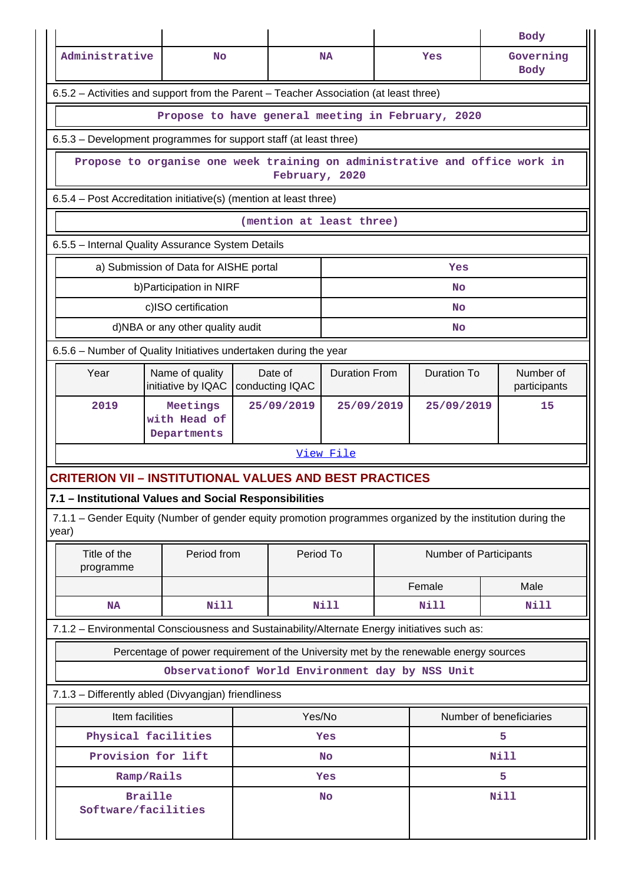|                                                                   |                                                                                              |                                                                  |  |                            |                      |  |                                                                                              | <b>Body</b>                                                                                                 |  |  |  |
|-------------------------------------------------------------------|----------------------------------------------------------------------------------------------|------------------------------------------------------------------|--|----------------------------|----------------------|--|----------------------------------------------------------------------------------------------|-------------------------------------------------------------------------------------------------------------|--|--|--|
| Administrative                                                    |                                                                                              | No                                                               |  |                            | <b>NA</b>            |  | Yes                                                                                          | Governing<br><b>Body</b>                                                                                    |  |  |  |
|                                                                   | 6.5.2 - Activities and support from the Parent - Teacher Association (at least three)        |                                                                  |  |                            |                      |  |                                                                                              |                                                                                                             |  |  |  |
|                                                                   | Propose to have general meeting in February, 2020                                            |                                                                  |  |                            |                      |  |                                                                                              |                                                                                                             |  |  |  |
|                                                                   | 6.5.3 – Development programmes for support staff (at least three)                            |                                                                  |  |                            |                      |  |                                                                                              |                                                                                                             |  |  |  |
|                                                                   | Propose to organise one week training on administrative and office work in<br>February, 2020 |                                                                  |  |                            |                      |  |                                                                                              |                                                                                                             |  |  |  |
| 6.5.4 – Post Accreditation initiative(s) (mention at least three) |                                                                                              |                                                                  |  |                            |                      |  |                                                                                              |                                                                                                             |  |  |  |
| (mention at least three)                                          |                                                                                              |                                                                  |  |                            |                      |  |                                                                                              |                                                                                                             |  |  |  |
| 6.5.5 - Internal Quality Assurance System Details                 |                                                                                              |                                                                  |  |                            |                      |  |                                                                                              |                                                                                                             |  |  |  |
|                                                                   | a) Submission of Data for AISHE portal<br>Yes                                                |                                                                  |  |                            |                      |  |                                                                                              |                                                                                                             |  |  |  |
|                                                                   | b) Participation in NIRF<br>No                                                               |                                                                  |  |                            |                      |  |                                                                                              |                                                                                                             |  |  |  |
| c)ISO certification<br>No                                         |                                                                                              |                                                                  |  |                            |                      |  |                                                                                              |                                                                                                             |  |  |  |
|                                                                   |                                                                                              | d)NBA or any other quality audit                                 |  |                            |                      |  | <b>No</b>                                                                                    |                                                                                                             |  |  |  |
|                                                                   |                                                                                              | 6.5.6 – Number of Quality Initiatives undertaken during the year |  |                            |                      |  |                                                                                              |                                                                                                             |  |  |  |
| Year                                                              |                                                                                              | Name of quality<br>initiative by IQAC                            |  | Date of<br>conducting IQAC | <b>Duration From</b> |  | <b>Duration To</b>                                                                           | Number of<br>participants                                                                                   |  |  |  |
| 2019                                                              |                                                                                              | Meetings<br>with Head of<br>Departments                          |  | 25/09/2019                 | 25/09/2019           |  | 25/09/2019                                                                                   | 15                                                                                                          |  |  |  |
|                                                                   |                                                                                              |                                                                  |  |                            | View File            |  |                                                                                              |                                                                                                             |  |  |  |
|                                                                   |                                                                                              | <b>CRITERION VII - INSTITUTIONAL VALUES AND BEST PRACTICES</b>   |  |                            |                      |  |                                                                                              |                                                                                                             |  |  |  |
|                                                                   |                                                                                              | 7.1 - Institutional Values and Social Responsibilities           |  |                            |                      |  |                                                                                              |                                                                                                             |  |  |  |
| year)                                                             |                                                                                              |                                                                  |  |                            |                      |  |                                                                                              | 7.1.1 – Gender Equity (Number of gender equity promotion programmes organized by the institution during the |  |  |  |
| Title of the<br>programme                                         |                                                                                              | Period from                                                      |  | Period To                  |                      |  | Number of Participants                                                                       |                                                                                                             |  |  |  |
|                                                                   |                                                                                              |                                                                  |  |                            |                      |  | Female                                                                                       | Male                                                                                                        |  |  |  |
| <b>NA</b>                                                         |                                                                                              | <b>Nill</b>                                                      |  |                            | Nill                 |  | Nill                                                                                         | Nill                                                                                                        |  |  |  |
|                                                                   |                                                                                              |                                                                  |  |                            |                      |  | 7.1.2 - Environmental Consciousness and Sustainability/Alternate Energy initiatives such as: |                                                                                                             |  |  |  |
|                                                                   |                                                                                              |                                                                  |  |                            |                      |  | Percentage of power requirement of the University met by the renewable energy sources        |                                                                                                             |  |  |  |
|                                                                   |                                                                                              | Observationof World Environment day by NSS Unit                  |  |                            |                      |  |                                                                                              |                                                                                                             |  |  |  |
|                                                                   |                                                                                              | 7.1.3 - Differently abled (Divyangjan) friendliness              |  |                            |                      |  |                                                                                              |                                                                                                             |  |  |  |
|                                                                   | Item facilities                                                                              |                                                                  |  | Yes/No                     |                      |  |                                                                                              | Number of beneficiaries                                                                                     |  |  |  |
|                                                                   |                                                                                              | Physical facilities                                              |  |                            | Yes                  |  |                                                                                              | 5                                                                                                           |  |  |  |
|                                                                   |                                                                                              | Provision for lift                                               |  |                            | <b>No</b>            |  |                                                                                              | <b>Nill</b>                                                                                                 |  |  |  |
|                                                                   | Ramp/Rails                                                                                   |                                                                  |  |                            | Yes                  |  |                                                                                              | 5.                                                                                                          |  |  |  |
|                                                                   | <b>Braille</b>                                                                               | Software/facilities                                              |  |                            | No                   |  |                                                                                              | Nill                                                                                                        |  |  |  |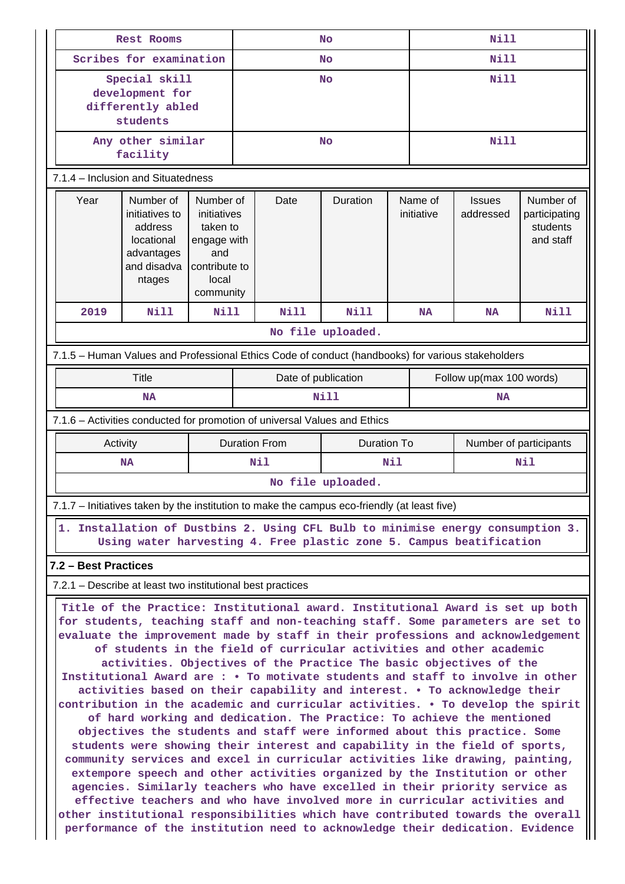|                                                                                                                                                                                                                                                                                                                                                                                                                                                                                                                                                                                                                                                                                                                                                                                                                                                                                                                                                                                                                                                                                                                                                                                                                                                                                                           | <b>Rest Rooms</b>                                                                                                                                      |                                                                                                   | <b>No</b>                                  |                   |  | <b>Nill</b>              |                            |                                                     |  |
|-----------------------------------------------------------------------------------------------------------------------------------------------------------------------------------------------------------------------------------------------------------------------------------------------------------------------------------------------------------------------------------------------------------------------------------------------------------------------------------------------------------------------------------------------------------------------------------------------------------------------------------------------------------------------------------------------------------------------------------------------------------------------------------------------------------------------------------------------------------------------------------------------------------------------------------------------------------------------------------------------------------------------------------------------------------------------------------------------------------------------------------------------------------------------------------------------------------------------------------------------------------------------------------------------------------|--------------------------------------------------------------------------------------------------------------------------------------------------------|---------------------------------------------------------------------------------------------------|--------------------------------------------|-------------------|--|--------------------------|----------------------------|-----------------------------------------------------|--|
|                                                                                                                                                                                                                                                                                                                                                                                                                                                                                                                                                                                                                                                                                                                                                                                                                                                                                                                                                                                                                                                                                                                                                                                                                                                                                                           | Scribes for examination                                                                                                                                |                                                                                                   | No                                         |                   |  | Nill                     |                            |                                                     |  |
|                                                                                                                                                                                                                                                                                                                                                                                                                                                                                                                                                                                                                                                                                                                                                                                                                                                                                                                                                                                                                                                                                                                                                                                                                                                                                                           | Special skill<br>development for<br>differently abled<br>students                                                                                      |                                                                                                   | No                                         |                   |  | <b>Nill</b>              |                            |                                                     |  |
|                                                                                                                                                                                                                                                                                                                                                                                                                                                                                                                                                                                                                                                                                                                                                                                                                                                                                                                                                                                                                                                                                                                                                                                                                                                                                                           | Any other similar<br>facility                                                                                                                          |                                                                                                   |                                            | <b>No</b>         |  | <b>Nill</b>              |                            |                                                     |  |
| 7.1.4 - Inclusion and Situatedness                                                                                                                                                                                                                                                                                                                                                                                                                                                                                                                                                                                                                                                                                                                                                                                                                                                                                                                                                                                                                                                                                                                                                                                                                                                                        |                                                                                                                                                        |                                                                                                   |                                            |                   |  |                          |                            |                                                     |  |
| Year                                                                                                                                                                                                                                                                                                                                                                                                                                                                                                                                                                                                                                                                                                                                                                                                                                                                                                                                                                                                                                                                                                                                                                                                                                                                                                      | Number of<br>initiatives to<br>address<br>locational<br>advantages<br>and disadva<br>ntages                                                            | Number of<br>initiatives<br>taken to<br>engage with<br>and<br>contribute to<br>local<br>community | Date<br>Duration                           |                   |  | Name of<br>initiative    | <b>Issues</b><br>addressed | Number of<br>participating<br>students<br>and staff |  |
| 2019                                                                                                                                                                                                                                                                                                                                                                                                                                                                                                                                                                                                                                                                                                                                                                                                                                                                                                                                                                                                                                                                                                                                                                                                                                                                                                      | Nill                                                                                                                                                   | Nill                                                                                              | Nill                                       | Nill              |  | <b>NA</b>                | <b>NA</b>                  | <b>Nill</b>                                         |  |
| No file uploaded.                                                                                                                                                                                                                                                                                                                                                                                                                                                                                                                                                                                                                                                                                                                                                                                                                                                                                                                                                                                                                                                                                                                                                                                                                                                                                         |                                                                                                                                                        |                                                                                                   |                                            |                   |  |                          |                            |                                                     |  |
|                                                                                                                                                                                                                                                                                                                                                                                                                                                                                                                                                                                                                                                                                                                                                                                                                                                                                                                                                                                                                                                                                                                                                                                                                                                                                                           | 7.1.5 - Human Values and Professional Ethics Code of conduct (handbooks) for various stakeholders                                                      |                                                                                                   |                                            |                   |  |                          |                            |                                                     |  |
|                                                                                                                                                                                                                                                                                                                                                                                                                                                                                                                                                                                                                                                                                                                                                                                                                                                                                                                                                                                                                                                                                                                                                                                                                                                                                                           | Title                                                                                                                                                  |                                                                                                   | Date of publication                        |                   |  | Follow up(max 100 words) |                            |                                                     |  |
|                                                                                                                                                                                                                                                                                                                                                                                                                                                                                                                                                                                                                                                                                                                                                                                                                                                                                                                                                                                                                                                                                                                                                                                                                                                                                                           | NA                                                                                                                                                     |                                                                                                   |                                            | <b>Nill</b>       |  |                          | NA                         |                                                     |  |
|                                                                                                                                                                                                                                                                                                                                                                                                                                                                                                                                                                                                                                                                                                                                                                                                                                                                                                                                                                                                                                                                                                                                                                                                                                                                                                           | 7.1.6 - Activities conducted for promotion of universal Values and Ethics                                                                              |                                                                                                   |                                            |                   |  |                          |                            |                                                     |  |
|                                                                                                                                                                                                                                                                                                                                                                                                                                                                                                                                                                                                                                                                                                                                                                                                                                                                                                                                                                                                                                                                                                                                                                                                                                                                                                           | Activity                                                                                                                                               |                                                                                                   | <b>Duration From</b><br><b>Duration To</b> |                   |  | Number of participants   |                            |                                                     |  |
|                                                                                                                                                                                                                                                                                                                                                                                                                                                                                                                                                                                                                                                                                                                                                                                                                                                                                                                                                                                                                                                                                                                                                                                                                                                                                                           | <b>NA</b>                                                                                                                                              |                                                                                                   | Nil<br>Nil                                 |                   |  |                          | Nil                        |                                                     |  |
|                                                                                                                                                                                                                                                                                                                                                                                                                                                                                                                                                                                                                                                                                                                                                                                                                                                                                                                                                                                                                                                                                                                                                                                                                                                                                                           |                                                                                                                                                        |                                                                                                   |                                            | No file uploaded. |  |                          |                            |                                                     |  |
|                                                                                                                                                                                                                                                                                                                                                                                                                                                                                                                                                                                                                                                                                                                                                                                                                                                                                                                                                                                                                                                                                                                                                                                                                                                                                                           | 7.1.7 – Initiatives taken by the institution to make the campus eco-friendly (at least five)                                                           |                                                                                                   |                                            |                   |  |                          |                            |                                                     |  |
|                                                                                                                                                                                                                                                                                                                                                                                                                                                                                                                                                                                                                                                                                                                                                                                                                                                                                                                                                                                                                                                                                                                                                                                                                                                                                                           | 1. Installation of Dustbins 2. Using CFL Bulb to minimise energy consumption 3.<br>Using water harvesting 4. Free plastic zone 5. Campus beatification |                                                                                                   |                                            |                   |  |                          |                            |                                                     |  |
|                                                                                                                                                                                                                                                                                                                                                                                                                                                                                                                                                                                                                                                                                                                                                                                                                                                                                                                                                                                                                                                                                                                                                                                                                                                                                                           | 7.2 - Best Practices                                                                                                                                   |                                                                                                   |                                            |                   |  |                          |                            |                                                     |  |
|                                                                                                                                                                                                                                                                                                                                                                                                                                                                                                                                                                                                                                                                                                                                                                                                                                                                                                                                                                                                                                                                                                                                                                                                                                                                                                           | 7.2.1 – Describe at least two institutional best practices                                                                                             |                                                                                                   |                                            |                   |  |                          |                            |                                                     |  |
| Title of the Practice: Institutional award. Institutional Award is set up both<br>for students, teaching staff and non-teaching staff. Some parameters are set to<br>evaluate the improvement made by staff in their professions and acknowledgement<br>of students in the field of curricular activities and other academic<br>activities. Objectives of the Practice The basic objectives of the<br>Institutional Award are: • To motivate students and staff to involve in other<br>activities based on their capability and interest. . To acknowledge their<br>contribution in the academic and curricular activities. . To develop the spirit<br>of hard working and dedication. The Practice: To achieve the mentioned<br>objectives the students and staff were informed about this practice. Some<br>students were showing their interest and capability in the field of sports,<br>community services and excel in curricular activities like drawing, painting,<br>extempore speech and other activities organized by the Institution or other<br>agencies. Similarly teachers who have excelled in their priority service as<br>effective teachers and who have involved more in curricular activities and<br>other institutional responsibilities which have contributed towards the overall |                                                                                                                                                        |                                                                                                   |                                            |                   |  |                          |                            |                                                     |  |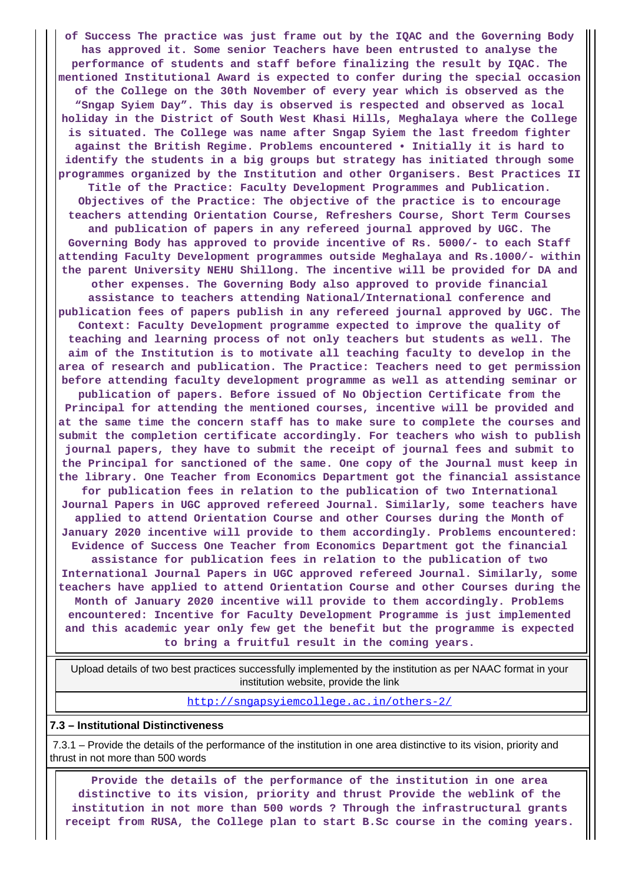**of Success The practice was just frame out by the IQAC and the Governing Body has approved it. Some senior Teachers have been entrusted to analyse the performance of students and staff before finalizing the result by IQAC. The mentioned Institutional Award is expected to confer during the special occasion of the College on the 30th November of every year which is observed as the "Sngap Syiem Day". This day is observed is respected and observed as local holiday in the District of South West Khasi Hills, Meghalaya where the College is situated. The College was name after Sngap Syiem the last freedom fighter against the British Regime. Problems encountered • Initially it is hard to identify the students in a big groups but strategy has initiated through some programmes organized by the Institution and other Organisers. Best Practices II Title of the Practice: Faculty Development Programmes and Publication. Objectives of the Practice: The objective of the practice is to encourage teachers attending Orientation Course, Refreshers Course, Short Term Courses and publication of papers in any refereed journal approved by UGC. The Governing Body has approved to provide incentive of Rs. 5000/- to each Staff attending Faculty Development programmes outside Meghalaya and Rs.1000/- within the parent University NEHU Shillong. The incentive will be provided for DA and other expenses. The Governing Body also approved to provide financial assistance to teachers attending National/International conference and publication fees of papers publish in any refereed journal approved by UGC. The Context: Faculty Development programme expected to improve the quality of teaching and learning process of not only teachers but students as well. The aim of the Institution is to motivate all teaching faculty to develop in the area of research and publication. The Practice: Teachers need to get permission before attending faculty development programme as well as attending seminar or publication of papers. Before issued of No Objection Certificate from the Principal for attending the mentioned courses, incentive will be provided and at the same time the concern staff has to make sure to complete the courses and submit the completion certificate accordingly. For teachers who wish to publish journal papers, they have to submit the receipt of journal fees and submit to the Principal for sanctioned of the same. One copy of the Journal must keep in the library. One Teacher from Economics Department got the financial assistance for publication fees in relation to the publication of two International Journal Papers in UGC approved refereed Journal. Similarly, some teachers have applied to attend Orientation Course and other Courses during the Month of January 2020 incentive will provide to them accordingly. Problems encountered: Evidence of Success One Teacher from Economics Department got the financial assistance for publication fees in relation to the publication of two International Journal Papers in UGC approved refereed Journal. Similarly, some teachers have applied to attend Orientation Course and other Courses during the Month of January 2020 incentive will provide to them accordingly. Problems encountered: Incentive for Faculty Development Programme is just implemented and this academic year only few get the benefit but the programme is expected to bring a fruitful result in the coming years.**

 Upload details of two best practices successfully implemented by the institution as per NAAC format in your institution website, provide the link

<http://sngapsyiemcollege.ac.in/others-2/>

#### **7.3 – Institutional Distinctiveness**

 7.3.1 – Provide the details of the performance of the institution in one area distinctive to its vision, priority and thrust in not more than 500 words

 **Provide the details of the performance of the institution in one area distinctive to its vision, priority and thrust Provide the weblink of the institution in not more than 500 words ? Through the infrastructural grants receipt from RUSA, the College plan to start B.Sc course in the coming years.**